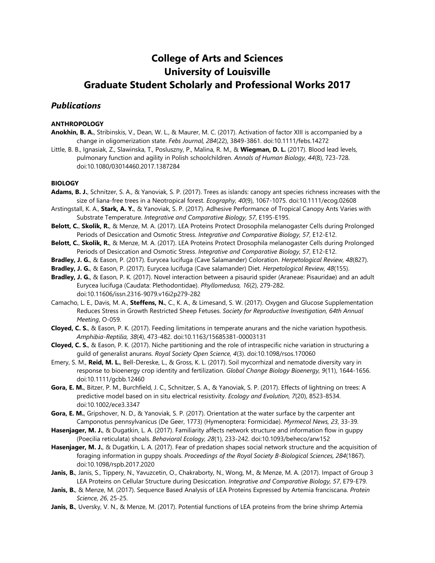# **College of Arts and Sciences University of Louisville Graduate Student Scholarly and Professional Works 2017**

# *Publications*

## **ANTHROPOLOGY**

- **Anokhin, B. A.**, Stribinskis, V., Dean, W. L., & Maurer, M. C. (2017). Activation of factor XIII is accompanied by a change in oligomerization state. *Febs Journal, 284*(22), 3849-3861. doi:10.1111/febs.14272
- Little, B. B., Ignasiak, Z., Slawinska, T., Posluszny, P., Malina, R. M., & **Wiegman, D. L.** (2017). Blood lead levels, pulmonary function and agility in Polish schoolchildren. *Annals of Human Biology, 44*(8), 723-728. doi:10.1080/03014460.2017.1387284

## **BIOLOGY**

- **Adams, B. J.**, Schnitzer, S. A., & Yanoviak, S. P. (2017). Trees as islands: canopy ant species richness increases with the size of liana-free trees in a Neotropical forest. *Ecography, 40*(9), 1067-1075. doi:10.1111/ecog.02608
- Arstingstall, K. A., **Stark, A. Y.**, & Yanoviak, S. P. (2017). Adhesive Performance of Tropical Canopy Ants Varies with Substrate Temperature. *Integrative and Comparative Biology, 57*, E195-E195.
- **Belott, C.**, **Skolik, R.**, & Menze, M. A. (2017). LEA Proteins Protect Drosophila melanogaster Cells during Prolonged Periods of Desiccation and Osmotic Stress. *Integrative and Comparative Biology, 57*, E12-E12.
- **Belott, C.**, **Skolik, R.**, & Menze, M. A. (2017). LEA Proteins Protect Drosophila melanogaster Cells during Prolonged Periods of Desiccation and Osmotic Stress. *Integrative and Comparative Biology, 57*, E12-E12.
- **Bradley, J. G.**, & Eason, P. (2017). Eurycea lucifuga (Cave Salamander) Coloration. *Herpetological Review, 48*(827).
- **Bradley, J. G.**, & Eason, P. (2017). Eurycea lucifuga (Cave salamander) Diet. *Herpetological Review, 48*(155).
- **Bradley, J. G.**, & Eason, P. K. (2017). Novel interaction between a pisaurid spider (Araneae: Pisauridae) and an adult Eurycea lucifuga (Caudata: Plethodontidae). *Phyllomedusa, 16*(2), 279-282. doi:10.11606/issn.2316-9079.v16i2p279-282
- Camacho, L. E., Davis, M. A., **Steffens, N.**, C., K. A., & Limesand, S. W. (2017). Oxygen and Glucose Supplementation Reduces Stress in Growth Restricted Sheep Fetuses. *Society for Reproductive Investigation, 64th Annual Meeting*, O-059.
- **Cloyed, C. S.**, & Eason, P. K. (2017). Feeding limitations in temperate anurans and the niche variation hypothesis. *Amphibia-Reptilia, 38*(4), 473-482. doi:10.1163/15685381-00003131
- **Cloyed, C. S.**, & Eason, P. K. (2017). Niche partitioning and the role of intraspecific niche variation in structuring a guild of generalist anurans. *Royal Society Open Science, 4*(3). doi:10.1098/rsos.170060
- Emery, S. M., **Reid, M. L.**, Bell-Dereske, L., & Gross, K. L. (2017). Soil mycorrhizal and nematode diversity vary in response to bioenergy crop identity and fertilization. *Global Change Biology Bioenergy, 9*(11), 1644-1656. doi:10.1111/gcbb.12460
- **Gora, E. M.**, Bitzer, P. M., Burchfield, J. C., Schnitzer, S. A., & Yanoviak, S. P. (2017). Effects of lightning on trees: A predictive model based on in situ electrical resistivity. *Ecology and Evolution, 7*(20), 8523-8534. doi:10.1002/ece3.3347
- **Gora, E. M.**, Gripshover, N. D., & Yanoviak, S. P. (2017). Orientation at the water surface by the carpenter ant Camponotus pennsylvanicus (De Geer, 1773) (Hymenoptera: Formicidae). *Myrmecol News, 23*, 33-39.
- **Hasenjager, M. J.**, & Dugatkin, L. A. (2017). Familiarity affects network structure and information flow in guppy (Poecilia reticulata) shoals. *Behavioral Ecology, 28*(1), 233-242. doi:10.1093/beheco/arw152
- **Hasenjager, M. J.**, & Dugatkin, L. A. (2017). Fear of predation shapes social network structure and the acquisition of foraging information in guppy shoals. *Proceedings of the Royal Society B-Biological Sciences, 284*(1867). doi:10.1098/rspb.2017.2020
- **Janis, B.**, Janis, S., Tippery, N., Yavuzcetin, O., Chakraborty, N., Wong, M., & Menze, M. A. (2017). Impact of Group 3 LEA Proteins on Cellular Structure during Desiccation. *Integrative and Comparative Biology, 57*, E79-E79.
- **Janis, B.**, & Menze, M. (2017). Sequence Based Analysis of LEA Proteins Expressed by Artemia franciscana. *Protein Science, 26*, 25-25.
- **Janis, B.**, Uversky, V. N., & Menze, M. (2017). Potential functions of LEA proteins from the brine shrimp Artemia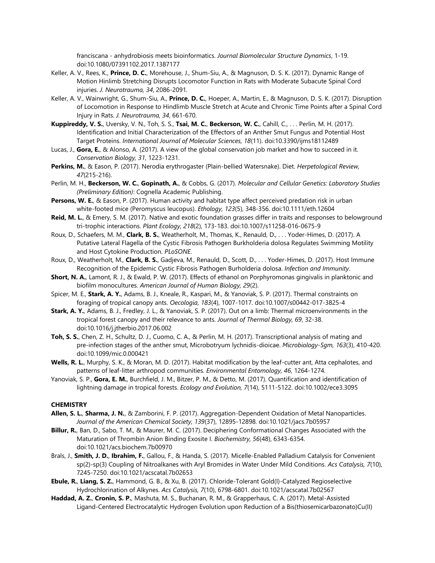franciscana - anhydrobiosis meets bioinformatics. *Journal Biomolecular Structure Dynamics*, 1-19. doi:10.1080/07391102.2017.1387177

- Keller, A. V., Rees, K., **Prince, D. C.**, Morehouse, J., Shum-Siu, A., & Magnuson, D. S. K. (2017). Dynamic Range of Motion Hinlimb Stretching Disrupts Locomotor Function in Rats with Moderate Subacute Spinal Cord injuries. *J. Neurotrauma, 34*, 2086-2091.
- Keller, A. V., Wainwright, G., Shum-Siu, A., **Prince, D. C.**, Hoeper, A., Martin, E., & Magnuson, D. S. K. (2017). Disruption of Locomotion in Response to Hindlimb Muscle Stretch at Acute and Chronic Time Points after a Spinal Cord Injury in Rats. *J. Neurotrauma, 34*, 661-670.
- **Kuppireddy, V. S.**, Uversky, V. N., Toh, S. S., **Tsai, M. C.**, **Beckerson, W. C.**, Cahill, C., . . . Perlin, M. H. (2017). Identification and Initial Characterization of the Effectors of an Anther Smut Fungus and Potential Host Target Proteins. *International Journal of Molecular Sciences, 18*(11). doi:10.3390/ijms18112489
- Lucas, J., **Gora, E.**, & Alonso, A. (2017). A view of the global conservation job market and how to succeed in it. *Conservation Biology, 31*, 1223-1231.
- **Perkins, M.**, & Eason, P. (2017). Nerodia erythrogaster (Plain-bellied Watersnake). Diet. *Herpetological Review, 47*(215-216).
- Perlin, M. H., **Beckerson, W. C.**, **Gopinath, A.**, & Cobbs, G. (2017). *Molecular and Cellular Genetics: Laboratory Studies (Preliminary Edition)*: Cognella Academic Publishing.
- **Persons, W. E.**, & Eason, P. (2017). Human activity and habitat type affect perceived predation risk in urban white-footed mice (Peromyscus leucopus). *Ethology, 123*(5), 348-356. doi:10.1111/eth.12604
- **Reid, M. L.**, & Emery, S. M. (2017). Native and exotic foundation grasses differ in traits and responses to belowground tri-trophic interactions. *Plant Ecology, 218*(2), 173-183. doi:10.1007/s11258-016-0675-9
- Roux, D., Schaefers, M. M., **Clark, B. S.**, Weatherholt, M., Thomas, K., Renauld, D., . . . Yoder-Himes, D. (2017). A Putative Lateral Flagella of the Cystic Fibrosis Pathogen Burkholderia dolosa Regulates Swimming Motility and Host Cytokine Production. *PLoSONE*.
- Roux, D., Weatherholt, M., **Clark, B. S.**, Gadjeva, M., Renauld, D., Scott, D., . . . Yoder-Himes, D. (2017). Host Immune Recognition of the Epidemic Cystic Fibrosis Pathogen Burholderia dolosa. *Infection and Immunity*.
- **Short, N. A.**, Lamont, R. J., & Ewald, P. W. (2017). Effects of ethanol on Porphyromonas gingivalis in planktonic and biofilm monocultures. *American Journal of Human Biology, 29*(2).
- Spicer, M. E., **Stark, A. Y.**, Adams, B. J., Kneale, R., Kaspari, M., & Yanoviak, S. P. (2017). Thermal constraints on foraging of tropical canopy ants. *Oecologia, 183*(4), 1007-1017. doi:10.1007/s00442-017-3825-4
- **Stark, A. Y.**, Adams, B. J., Fredley, J. L., & Yanoviak, S. P. (2017). Out on a limb: Thermal microenvironments in the tropical forest canopy and their relevance to ants. *Journal of Thermal Biology, 69*, 32-38. doi:10.1016/j.jtherbio.2017.06.002
- **Toh, S. S.**, Chen, Z. H., Schultz, D. J., Cuomo, C. A., & Perlin, M. H. (2017). Transcriptional analysis of mating and pre-infection stages of the anther smut, Microbotryum lychnidis-dioicae. *Microbiology-Sgm, 163*(3), 410-420. doi:10.1099/mic.0.000421
- **Wells, R. L.**, Murphy, S. K., & Moran, M. D. (2017). Habitat modification by the leaf-cutter ant, Atta cephalotes, and patterns of leaf-litter arthropod communities. *Environmental Entomology, 46*, 1264-1274.
- Yanoviak, S. P., **Gora, E. M.**, Burchfield, J. M., Bitzer, P. M., & Detto, M. (2017). Quantification and identification of lightning damage in tropical forests. *Ecology and Evolution, 7*(14), 5111-5122. doi:10.1002/ece3.3095

#### **CHEMISTRY**

- **Allen, S. L.**, **Sharma, J. N.**, & Zamborini, F. P. (2017). Aggregation-Dependent Oxidation of Metal Nanoparticles. *Journal of the American Chemical Society, 139*(37), 12895-12898. doi:10.1021/jacs.7b05957
- **Billur, R.**, Ban, D., Sabo, T. M., & Maurer, M. C. (2017). Deciphering Conformational Changes Associated with the Maturation of Thrombin Anion Binding Exosite I. *Biochemistry, 56*(48), 6343-6354. doi:10.1021/acs.biochem.7b00970
- Brals, J., **Smith, J. D.**, **Ibrahim, F.**, Gallou, F., & Handa, S. (2017). Micelle-Enabled Palladium Catalysis for Convenient sp(2)-sp(3) Coupling of Nitroalkanes with Aryl Bromides in Water Under Mild Conditions. *Acs Catalysis, 7*(10), 7245-7250. doi:10.1021/acscatal.7b02653
- **Ebule, R.**, **Liang, S. Z.**, Hammond, G. B., & Xu, B. (2017). Chloride-Tolerant Gold(I)-Catalyzed Regioselective Hydrochlorination of Alkynes. *Acs Catalysis, 7*(10), 6798-6801. doi:10.1021/acscatal.7b02567
- **Haddad, A. Z.**, **Cronin, S. P.**, Mashuta, M. S., Buchanan, R. M., & Grapperhaus, C. A. (2017). Metal-Assisted Ligand-Centered Electrocatalytic Hydrogen Evolution upon Reduction of a Bis(thiosemicarbazonato)Cu(II)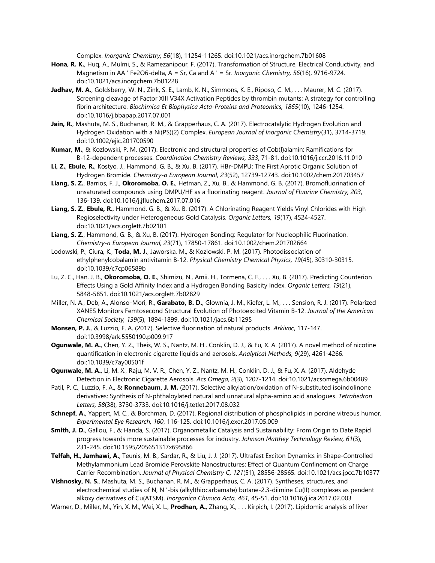Complex. *Inorganic Chemistry, 56*(18), 11254-11265. doi:10.1021/acs.inorgchem.7b01608

- **Hona, R. K.**, Huq, A., Mulmi, S., & Ramezanipour, F. (2017). Transformation of Structure, Electrical Conductivity, and Magnetism in AA ' Fe2O6-delta, A = Sr, Ca and A ' = Sr. *Inorganic Chemistry, 56*(16), 9716-9724. doi:10.1021/acs.inorgchem.7b01228
- **Jadhav, M. A.**, Goldsberry, W. N., Zink, S. E., Lamb, K. N., Simmons, K. E., Riposo, C. M., . . . Maurer, M. C. (2017). Screening cleavage of Factor XIII V34X Activation Peptides by thrombin mutants: A strategy for controlling fibrin architecture. *Biochimica Et Biophysica Acta-Proteins and Proteomics, 1865*(10), 1246-1254. doi:10.1016/j.bbapap.2017.07.001
- **Jain, R.**, Mashuta, M. S., Buchanan, R. M., & Grapperhaus, C. A. (2017). Electrocatalytic Hydrogen Evolution and Hydrogen Oxidation with a Ni(PS)(2) Complex. *European Journal of Inorganic Chemistry*(31), 3714-3719. doi:10.1002/ejic.201700590
- **Kumar, M.**, & Kozlowski, P. M. (2017). Electronic and structural properties of Cob(I)alamin: Ramifications for B-12-dependent processes. *Coordination Chemistry Reviews, 333*, 71-81. doi:10.1016/j.ccr.2016.11.010
- **Li, Z.**, **Ebule, R.**, Kostyo, J., Hammond, G. B., & Xu, B. (2017). HBr-DMPU: The First Aprotic Organic Solution of Hydrogen Bromide. *Chemistry-a European Journal, 23*(52), 12739-12743. doi:10.1002/chem.201703457
- **Liang, S. Z.**, Barrios, F. J., **Okoromoba, O. E.**, Hetman, Z., Xu, B., & Hammond, G. B. (2017). Bromofluorination of unsaturated compounds using DMPU/HF as a fluorinating reagent. *Journal of Fluorine Chemistry, 203*, 136-139. doi:10.1016/j.jfluchem.2017.07.016
- **Liang, S. Z.**, **Ebule, R.**, Hammond, G. B., & Xu, B. (2017). A Chlorinating Reagent Yields Vinyl Chlorides with High Regioselectivity under Heterogeneous Gold Catalysis. *Organic Letters, 19*(17), 4524-4527. doi:10.1021/acs.orglett.7b02101
- **Liang, S. Z.**, Hammond, G. B., & Xu, B. (2017). Hydrogen Bonding: Regulator for Nucleophilic Fluorination. *Chemistry-a European Journal, 23*(71), 17850-17861. doi:10.1002/chem.201702664
- Lodowski, P., Ciura, K., **Toda, M. J.**, Jaworska, M., & Kozlowski, P. M. (2017). Photodissociation of ethylphenylcobalamin antivitamin B-12. *Physical Chemistry Chemical Physics, 19*(45), 30310-30315. doi:10.1039/c7cp06589b
- Lu, Z. C., Han, J. B., **Okoromoba, O. E.**, Shimizu, N., Amii, H., Tormena, C. F., . . . Xu, B. (2017). Predicting Counterion Effects Using a Gold Affinity Index and a Hydrogen Bonding Basicity Index. *Organic Letters, 19*(21), 5848-5851. doi:10.1021/acs.orglett.7b02829
- Miller, N. A., Deb, A., Alonso-Mori, R., **Garabato, B. D.**, Glownia, J. M., Kiefer, L. M., . . . Sension, R. J. (2017). Polarized XANES Monitors Femtosecond Structural Evolution of Photoexcited Vitamin B-12. *Journal of the American Chemical Society, 139*(5), 1894-1899. doi:10.1021/jacs.6b11295
- **Monsen, P. J.**, & Luzzio, F. A. (2017). Selective fluorination of natural products. *Arkivoc*, 117-147. doi:10.3998/ark.5550190.p009.917
- **Ogunwale, M. A.**, Chen, Y. Z., Theis, W. S., Nantz, M. H., Conklin, D. J., & Fu, X. A. (2017). A novel method of nicotine quantification in electronic cigarette liquids and aerosols. *Analytical Methods, 9*(29), 4261-4266. doi:10.1039/c7ay00501f
- **Ogunwale, M. A.**, Li, M. X., Raju, M. V. R., Chen, Y. Z., Nantz, M. H., Conklin, D. J., & Fu, X. A. (2017). Aldehyde Detection in Electronic Cigarette Aerosols. *Acs Omega, 2*(3), 1207-1214. doi:10.1021/acsomega.6b00489
- Patil, P. C., Luzzio, F. A., & **Ronnebaum, J. M.** (2017). Selective alkylation/oxidation of N-substituted isoindolinone derivatives: Synthesis of N-phthaloylated natural and unnatural alpha-amino acid analogues. *Tetrahedron Letters, 58*(38), 3730-3733. doi:10.1016/j.tetlet.2017.08.032
- **Schnepf, A.**, Yappert, M. C., & Borchman, D. (2017). Regional distribution of phospholipids in porcine vitreous humor. *Experimental Eye Research, 160*, 116-125. doi:10.1016/j.exer.2017.05.009
- **Smith, J. D.**, Gallou, F., & Handa, S. (2017). Organometallic Catalysis and Sustainability: From Origin to Date Rapid progress towards more sustainable processes for industry. *Johnson Matthey Technology Review, 61*(3), 231-245. doi:10.1595/205651317x695866
- **Telfah, H.**, **Jamhawi, A.**, Teunis, M. B., Sardar, R., & Liu, J. J. (2017). Ultrafast Exciton Dynamics in Shape-Controlled Methylammonium Lead Bromide Perovskite Nanostructures: Effect of Quantum Confinement on Charge Carrier Recombination. *Journal of Physical Chemistry C, 121*(51), 28556-28565. doi:10.1021/acs.jpcc.7b10377
- **Vishnosky, N. S.**, Mashuta, M. S., Buchanan, R. M., & Grapperhaus, C. A. (2017). Syntheses, structures, and electrochemical studies of N, N '-bis (alkylthiocarbamate) butane-2,3-diimine Cu(II) complexes as pendent alkoxy derivatives of Cu(ATSM). *Inorganica Chimica Acta, 461*, 45-51. doi:10.1016/j.ica.2017.02.003
- Warner, D., Miller, M., Yin, X. M., Wei, X. L., **Prodhan, A.**, Zhang, X., . . . Kirpich, I. (2017). Lipidomic analysis of liver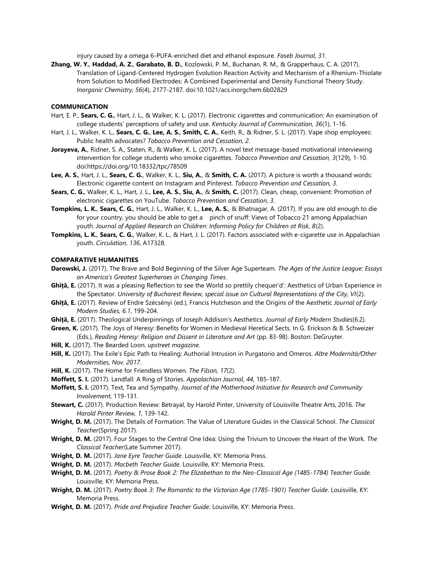injury caused by a omega 6-PUFA-enriched diet and ethanol exposure. *Faseb Journal, 31*.

**Zhang, W. Y.**, **Haddad, A. Z.**, **Garabato, B. D.**, Kozlowski, P. M., Buchanan, R. M., & Grapperhaus, C. A. (2017). Translation of Ligand-Centered Hydrogen Evolution Reaction Activity and Mechanism of a Rhenium-Thiolate from Solution to Modified Electrodes: A Combined Experimental and Density Functional Theory Study. *Inorganic Chemistry, 56*(4), 2177-2187. doi:10.1021/acs.inorgchem.6b02829

#### **COMMUNICATION**

- Hart, E. P., **Sears, C. G.**, Hart, J. L., & Walker, K. L. (2017). Electronic cigarettes and communication: An examination of college students' perceptions of safety and use. *Kentucky Journal of Communication, 36*(1), 1-16.
- Hart, J. L., Walker, K. L., **Sears, C. G.**, **Lee, A. S.**, **Smith, C. A.**, Keith, R., & Ridner, S. L. (2017). Vape shop employees: Public health advocates? *Tobacco Prevention and Cessation, 2*.
- **Jorayeva, A.**, Ridner, S. A., Staten, R., & Walker, K. L. (2017). A novel text message-based motivational interviewing intervention for college students who smoke cigarettes. *Tobacco Prevention and Cessation, 3*(129), 1-10. doi:https://doi.org/10.18332/tpc/78509
- **Lee, A. S.**, Hart, J. L., **Sears, C. G.**, Walker, K. L., **Siu, A.**, & **Smith, C. A.** (2017). A picture is worth a thousand words: Electronic cigarette content on Instagram and Pinterest. *Tobacco Prevention and Cessation, 3*.
- **Sears, C. G.**, Walker, K. L., Hart, J. L., **Lee, A. S.**, **Siu, A.**, & **Smith, C.** (2017). Clean, cheap, convenient: Promotion of electronic cigarettes on YouTube. *Tobacco Prevention and Cessation, 3*.
- **Tompkins, L. K.**, **Sears, C. G.**, Hart, J. L., Walker, K. L., **Lee, A. S.**, & Bhatnagar, A. (2017). If you are old enough to die for your country, you should be able to get a pinch of snuff: Views of Tobacco 21 among Appalachian youth. *Journal of Applied Research on Children: Informing Policy for Children at Risk, 8*(2).
- **Tompkins, L. K.**, **Sears, C. G.**, Walker, K. L., & Hart, J. L. (2017). Factors associated with e-cigarette use in Appalachian youth. *Circulation, 136*, A17328.

#### **COMPARATIVE HUMANITIES**

- **Darowski, J.** (2017). The Brave and Bold Beginning of the Silver Age Superteam. *The Ages of the Justice League: Essays on America's Greatest Superheroes in Changing Times*.
- **Ghiță, E.** (2017). It was a pleasing Reflection to see the World so prettily chequer'd': Aesthetics of Urban Experience in the Spectator. *University of Bucharest Review, special issue on Cultural Representations of the City, VI*(2).
- **Ghiță, E.** (2017). Review of Endre Szécsényi (ed.), Francis Hutcheson and the Origins of the Aesthetic *Journal of Early Modern Studies, 6.1*, 199-204.
- **Ghiță, E.** (2017). Theological Underpinnings of Joseph Addison's Aesthetics. *Journal of Early Modern Studies*(6.2).
- **Green, K.** (2017). The Joys of Heresy: Benefits for Women in Medieval Heretical Sects. In G. Erickson & B. Schweizer (Eds.), *Reading Heresy: Religion and Dissent in Literature and Art* (pp. 83-98). Boston: DeGruyter.
- **Hill, K.** (2017). The Bearded Loon. *upstreet magazine*.
- **Hill, K.** (2017). The Exile's Epic Path to Healing: Authorial Intrusion in Purgatorio and Omeros. *Altre Modernità/Other Modernities, Nov. 2017*.
- **Hill, K.** (2017). The Home for Friendless Women. *The Filson, 17*(2).
- **Moffett, S. I.** (2017). Landfall: A Ring of Stories. *Appalachian Journal, 44*, 185-187.
- **Moffett, S. I.** (2017). Text, Tea and Sympathy. *Journal of the Motherhood Initiative for Research and Community Involvement*, 119-131.
- **Stewart, C.** (2017). Production Review: Betrayal, by Harold Pinter, University of Louisville Theatre Arts, 2016. *The Harold Pinter Review, 1*, 139-142.
- **Wright, D. M.** (2017). The Details of Formation: The Value of Literature Guides in the Classical School. *The Classical Teacher*(Spring 2017).
- **Wright, D. M.** (2017). Four Stages to the Central One Idea: Using the Trivium to Uncover the Heart of the Work. *The Classical Teacher*(Late Summer 2017).
- **Wright, D. M.** (2017). *Jane Eyre Teacher Guide*. Louisville, KY: Memoria Press.
- **Wright, D. M.** (2017). *Macbeth Teacher Guide*. Louisville, KY: Memoria Press.
- **Wright, D. M.** (2017). *Poetry & Prose Book 2: The Elizabethan to the Neo-Classical Age (1485-1784) Teacher Guide*. Louisville, KY: Memoria Press.
- **Wright, D. M.** (2017). *Poetry Book 3: The Romantic to the Victorian Age (1785-1901) Teacher Guide*. Louisville, KY: Memoria Press.
- **Wright, D. M.** (2017). *Pride and Prejudice Teacher Guide*. Louisville, KY: Memoria Press.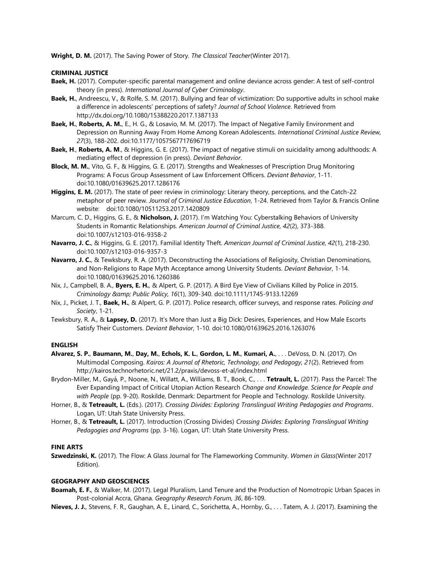**Wright, D. M.** (2017). The Saving Power of Story. *The Classical Teacher*(Winter 2017).

#### **CRIMINAL JUSTICE**

- **Baek, H.** (2017). Computer-specific parental management and online deviance across gender: A test of self-control theory (in press). *International Journal of Cyber Criminology*.
- **Baek, H.**, Andreescu, V., & Rolfe, S. M. (2017). Bullying and fear of victimization: Do supportive adults in school make a difference in adolescents' perceptions of safety? *Journal of School Violence*. Retrieved from http://dx.doi.org/10.1080/15388220.2017.1387133
- **Baek, H.**, **Roberts, A. M.**, E., H. G., & Losavio, M. M. (2017). The Impact of Negative Family Environment and Depression on Running Away From Home Among Korean Adolescents. *International Criminal Justice Review, 27*(3), 188-202. doi:10.1177/1057567717696719
- **Baek, H**., **Roberts, A. M**., & Higgins, G. E. (2017). The impact of negative stimuli on suicidality among adulthoods: A mediating effect of depression (in press). *Deviant Behavior*.
- **Block, M. M.**, Vito, G. F., & Higgins, G. E. (2017). Strengths and Weaknesses of Prescription Drug Monitoring Programs: A Focus Group Assessment of Law Enforcement Officers. *Deviant Behavior*, 1-11. doi:10.1080/01639625.2017.1286176
- **Higgins, E. M.** (2017). The state of peer review in criminology: Literary theory, perceptions, and the Catch-22 metaphor of peer review. *Journal of Criminal Justice Education*, 1-24. Retrieved from Taylor & Francis Online website: doi:10.1080/10511253.2017.1420809
- Marcum, C. D., Higgins, G. E., & **Nicholson, J.** (2017). I'm Watching You: Cyberstalking Behaviors of University Students in Romantic Relationships. *American Journal of Criminal Justice, 42*(2), 373-388. doi:10.1007/s12103-016-9358-2
- **Navarro, J. C.**, & Higgins, G. E. (2017). Familial Identity Theft. *American Journal of Criminal Justice, 42*(1), 218-230. doi:10.1007/s12103-016-9357-3
- **Navarro, J. C.**, & Tewksbury, R. A. (2017). Deconstructing the Associations of Religiosity, Christian Denominations, and Non-Religions to Rape Myth Acceptance among University Students. *Deviant Behavior*, 1-14. doi:10.1080/01639625.2016.1260386
- Nix, J., Campbell, B. A., **Byers, E. H.**, & Alpert, G. P. (2017). A Bird Eye View of Civilians Killed by Police in 2015. *Criminology & Public Policy, 16*(1), 309-340. doi:10.1111/1745-9133.12269
- Nix, J., Picket, J. T., **Baek, H.**, & Alpert, G. P. (2017). Police research, officer surveys, and response rates. *Policing and Society*, 1-21.
- Tewksbury, R. A., & **Lapsey, D.** (2017). It's More than Just a Big Dick: Desires, Experiences, and How Male Escorts Satisfy Their Customers. *Deviant Behavior*, 1-10. doi:10.1080/01639625.2016.1263076

#### **ENGLISH**

- **Alvarez, S. P.**, **Baumann, M.**, **Day, M.**, **Echols, K. L.**, **Gordon, L. M.**, **Kumari, A.**, . . . DeVoss, D. N. (2017). On Multimodal Composing. *Kairos: A Journal of Rhetoric, Technology, and Pedagogy, 21*(2). Retrieved from http://kairos.technorhetoric.net/21.2/praxis/devoss-et-al/index.html
- Brydon-Miller, M., Gayá, P., Noone, N., Willatt, A., Williams, B. T., Book, C., . . . **Tetrault, L.** (2017). Pass the Parcel: The Ever Expanding Impact of Critical Utopian Action Research *Change and Knowledge. Science for People and with People* (pp. 9-20). Roskilde, Denmark: Department for People and Technology. Roskilde University.
- Horner, B., & **Tetreault, L.** (Eds.). (2017). *Crossing Divides: Exploring Translingual Writing Pedagogies and Programs*. Logan, UT: Utah State University Press.
- Horner, B., & **Tetreault, L.** (2017). Introduction (Crossing Divides) *Crossing Divides: Exploring Translingual Writing Pedagogies and Programs* (pp. 3-16). Logan, UT: Utah State University Press.

#### **FINE ARTS**

**Szwedzinski, K.** (2017). The Flow: A Glass Journal for The Flameworking Community. *Women in Glass*(Winter 2017 Edition).

## **GEOGRAPHY AND GEOSCIENCES**

- **Boamah, E. F.**, & Walker, M. (2017). Legal Pluralism, Land Tenure and the Production of Nomotropic Urban Spaces in Post-colonial Accra, Ghana. *Geography Research Forum, 36*, 86-109.
- **Nieves, J. J.**, Stevens, F. R., Gaughan, A. E., Linard, C., Sorichetta, A., Hornby, G., . . . Tatem, A. J. (2017). Examining the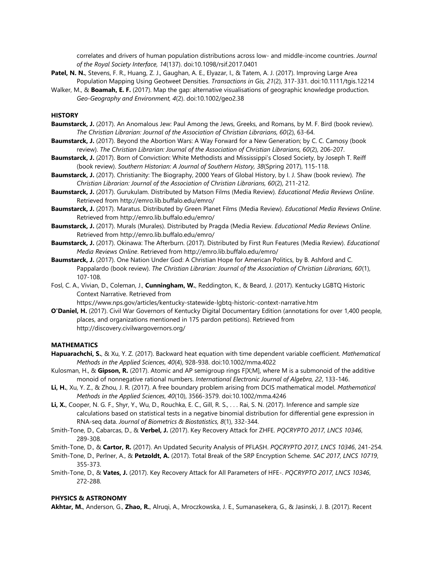correlates and drivers of human population distributions across low- and middle-income countries. *Journal of the Royal Society Interface, 14*(137). doi:10.1098/rsif.2017.0401

- **Patel, N. N.**, Stevens, F. R., Huang, Z. J., Gaughan, A. E., Elyazar, I., & Tatem, A. J. (2017). Improving Large Area Population Mapping Using Geotweet Densities. *Transactions in Gis, 21*(2), 317-331. doi:10.1111/tgis.12214
- Walker, M., & **Boamah, E. F.** (2017). Map the gap: alternative visualisations of geographic knowledge production. *Geo-Geography and Environment, 4*(2). doi:10.1002/geo2.38

## **HISTORY**

- **Baumstarck, J.** (2017). An Anomalous Jew: Paul Among the Jews, Greeks, and Romans, by M. F. Bird (book review). *The Christian Librarian: Journal of the Association of Christian Librarians, 60*(2), 63-64.
- **Baumstarck, J.** (2017). Beyond the Abortion Wars: A Way Forward for a New Generation; by C. C. Camosy (book review). *The Christian Librarian: Journal of the Association of Christian Librarians, 60*(2), 206-207.
- **Baumstarck, J.** (2017). Born of Conviction: White Methodists and Mississippi's Closed Society, by Joseph T. Reiff (book review). *Southern Historian: A Journal of Southern History, 38*(Spring 2017), 115-118.
- **Baumstarck, J.** (2017). Christianity: The Biography, 2000 Years of Global History, by I. J. Shaw (book review). *The Christian Librarian: Journal of the Association of Christian Librarians, 60*(2), 211-212.
- **Baumstarck, J.** (2017). Gurukulam. Distributed by Matson Films (Media Review). *Educational Media Reviews Online*. Retrieved from http://emro.lib.buffalo.edu/emro/
- **Baumstarck, J.** (2017). Maratus. Distributed by Green Planet Films (Media Review). *Educational Media Reviews Online*. Retrieved from http://emro.lib.buffalo.edu/emro/
- **Baumstarck, J.** (2017). Murals (Murales). Distributed by Pragda (Media Review. *Educational Media Reviews Online*. Retrieved from http://emro.lib.buffalo.edu/emro/
- **Baumstarck, J.** (2017). Okinawa: The Afterburn. (2017). Distributed by First Run Features (Media Review). *Educational Media Reviews Online*. Retrieved from http://emro.lib.buffalo.edu/emro/
- **Baumstarck, J.** (2017). One Nation Under God: A Christian Hope for American Politics, by B. Ashford and C. Pappalardo (book review). *The Christian Librarian: Journal of the Association of Christian Librarians, 60*(1), 107-108.
- Fosl, C. A., Vivian, D., Coleman, J., **Cunningham, W.**, Reddington, K., & Beard, J. (2017). Kentucky LGBTQ Historic Context Narrative. Retrieved from

https://www.nps.gov/articles/kentucky-statewide-lgbtq-historic-context-narrative.htm

**O'Daniel, H.** (2017). Civil War Governors of Kentucky Digital Documentary Edition (annotations for over 1,400 people, places, and organizations mentioned in 175 pardon petitions). Retrieved from http://discovery.civilwargovernors.org/

#### **MATHEMATICS**

- **Hapuarachchi, S.**, & Xu, Y. Z. (2017). Backward heat equation with time dependent variable coefficient. *Mathematical Methods in the Applied Sciences, 40*(4), 928-938. doi:10.1002/mma.4022
- Kulosman, H., & **Gipson, R.** (2017). Atomic and AP semigroup rings F[X;M], where M is a submonoid of the additive monoid of nonnegative rational numbers. *International Electronic Journal of Algebra, 22*, 133-146.
- **Li, H.**, Xu, Y. Z., & Zhou, J. R. (2017). A free boundary problem arising from DCIS mathematical model. *Mathematical Methods in the Applied Sciences, 40*(10), 3566-3579. doi:10.1002/mma.4246
- Li, X., Cooper, N. G. F., Shyr, Y., Wu, D., Rouchka, E. C., Gill, R. S., . . . Rai, S. N. (2017). Inference and sample size calculations based on statistical tests in a negative binomial distribution for differential gene expression in RNA-seq data. *Journal of Biometrics & Biostatistics, 8*(1), 332-344.
- Smith-Tone, D., Cabarcas, D., & **Verbel, J.** (2017). Key Recovery Attack for ZHFE. *PQCRYPTO 2017, LNCS 10346*, 289-308.
- Smith-Tone, D., & **Cartor, R.** (2017). An Updated Security Analysis of PFLASH. *PQCRYPTO 2017, LNCS 10346*, 241-254.
- Smith-Tone, D., Perlner, A., & **Petzoldt, A.** (2017). Total Break of the SRP Encryption Scheme. *SAC 2017, LNCS 10719*, 355-373.
- Smith-Tone, D., & **Vates, J.** (2017). Key Recovery Attack for All Parameters of HFE-. *PQCRYPTO 2017, LNCS 10346*, 272-288.

#### **PHYSICS & ASTRONOMY**

**Akhtar, M.**, Anderson, G., **Zhao, R.**, Alruqi, A., Mroczkowska, J. E., Sumanasekera, G., & Jasinski, J. B. (2017). Recent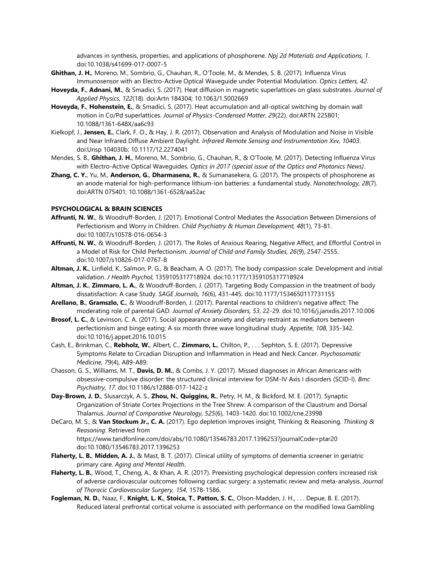advances in synthesis, properties, and applications of phosphorene. *Npj 2d Materials and Applications, 1*. doi:10.1038/s41699-017-0007-5

- **Ghithan, J. H.**, Moreno, M., Sombrio, G., Chauhan, R., O'Toole, M., & Mendes, S. B. (2017). Influenza Virus Immunosensor with an Electro-Active Optical Waveguide under Potential Modulation. *Optics Letters, 42*.
- **Hoveyda, F.**, **Adnani, M.**, & Smadici, S. (2017). Heat diffusion in magnetic superlattices on glass substrates. *Journal of Applied Physics, 122*(18). doi:Artn 184304; 10.1063/1.5002669
- **Hoveyda, F.**, **Hohenstein, E.**, & Smadici, S. (2017). Heat accumulation and all-optical switching by domain wall motion in Co/Pd superlattices. *Journal of Physics-Condensed Matter, 29*(22). doi:ARTN 225801; 10.1088/1361-648X/aa6c93
- Kielkopf, J., **Jensen, E.**, Clark, F. O., & Hay, J. R. (2017). Observation and Analysis of Modulation and Noise in Visible and Near Infrared Diffuse Ambient Daylight. *Infrared Remote Sensing and Instrumentation Xxv, 10403*. doi:Unsp 104030b; 10.1117/12.2274041
- Mendes, S. B., **Ghithan, J. H.**, Moreno, M., Sombrio, G., Chauhan, R., & O'Toole, M. (2017). Detecting Influenza Virus with Electro-Active Optical Waveguides. *Optics in 2017 (special issue of the Optics and Photonics News)*.
- **Zhang, C. Y.**, Yu, M., **Anderson, G.**, **Dharmasena, R.**, & Sumanasekera, G. (2017). The prospects of phosphorene as an anode material for high-performance lithium-ion batteries: a fundamental study. *Nanotechnology, 28*(7). doi:ARTN 075401; 10.1088/1361-6528/aa52ac

#### **PSYCHOLOGICAL & BRAIN SCIENCES**

- **Affrunti, N. W.**, & Woodruff-Borden, J. (2017). Emotional Control Mediates the Association Between Dimensions of Perfectionism and Worry in Children. *Child Psychiatry & Human Development, 48*(1), 73-81. doi:10.1007/s10578-016-0654-3
- **Affrunti, N. W.**, & Woodruff-Borden, J. (2017). The Roles of Anxious Rearing, Negative Affect, and Effortful Control in a Model of Risk for Child Perfectionism. *Journal of Child and Family Studies, 26*(9), 2547-2555. doi:10.1007/s10826-017-0767-8
- **Altman, J. K.**, Linfield, K., Salmon, P. G., & Beacham, A. O. (2017). The body compassion scale: Development and initial validation. *J Health Psychol*, 1359105317718924. doi:10.1177/1359105317718924
- **Altman, J. K.**, **Zimmaro, L. A.**, & Woodruff-Borden, J. (2017). Targeting Body Compassion in the treatment of body dissatisfaction: A case Study. *SAGE Journals, 16*(6), 431-445. doi:10.1177/1534650117731155
- **Arellano, B.**, **Gramszlo, C.**, & Woodruff-Borden, J. (2017). Parental reactions to children's negative affect: The moderating role of parental GAD. *Journal of Anxiety Disorders, 53*, 22-29. doi:10.1016/j.janxdis.2017.10.006
- **Brosof, L. C.**, & Levinson, C. A. (2017). Social appearance anxiety and dietary restraint as mediators between perfectionism and binge eating: A six month three wave longitudinal study. *Appetite, 108*, 335-342. doi:10.1016/j.appet.2016.10.015
- Cash, E., Brinkman, C., **Rebholz, W.**, Albert, C., **Zimmaro, L.**, Chilton, P., . . . Sephton, S. E. (2017). Depressive Symptoms Relate to Circadian Disruption and Inflammation in Head and Neck Cancer. *Psychosomatic Medicine, 79*(4), A89-A89.
- Chasson, G. S., Williams, M. T., **Davis, D. M.**, & Combs, J. Y. (2017). Missed diagnoses in African Americans with obsessive-compulsive disorder: the structured clinical interview for DSM-IV Axis I disorders (SCID-I). *Bmc Psychiatry, 17*. doi:10.1186/s12888-017-1422-z
- **Day-Brown, J. D.**, Slusarczyk, A. S., **Zhou, N.**, **Quiggins, R.**, Petry, H. M., & Bickford, M. E. (2017). Synaptic Organization of Striate Cortex Projections in the Tree Shrew: A comparison of the Claustrum and Dorsal Thalamus. *Journal of Comparative Neurology, 525*(6), 1403-1420. doi:10.1002/cne.23998
- DeCaro, M. S., & **Van Stockum Jr., C. A.** (2017). Ego depletion improves insight, Thinking & Reasoning. *Thinking & Reasoning*. Retrieved from https://www.tandfonline.com/doi/abs/10.1080/13546783.2017.1396253?journalCode=ptar20
- doi:10.1080/13546783.2017.1396253 **Flaherty, L. B.**, **Midden, A. J.**, & Mast, B. T. (2017). Clinical utility of symptoms of dementia screener in geriatric primary care. *Aging and Mental Health*.
- **Flaherty, L. B.**, Wood, T., Cheng, A., & Khan, A. R. (2017). Preexisting psychological depression confers increased risk of adverse cardiovascular outcomes following cardiac surgery: a systematic review and meta-analysis. *Journal of Thoracic Cardiovascular Surgery, 154*, 1578-1586.
- **Fogleman, N. D.**, Naaz, F., **Knight, L. K.**, **Stoica, T.**, **Patton, S. C.**, Olson-Madden, J. H., . . . Depue, B. E. (2017). Reduced lateral prefrontal cortical volume is associated with performance on the modified Iowa Gambling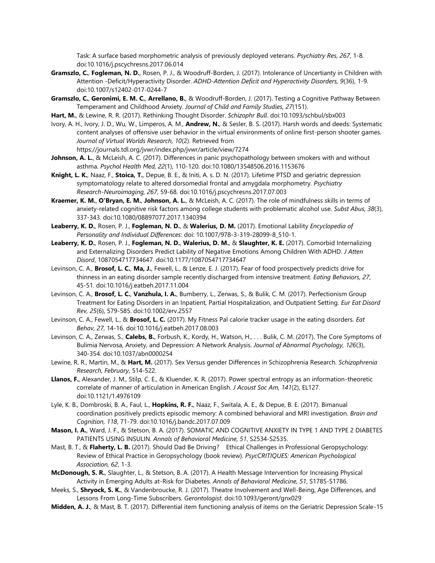Task: A surface based morphometric analysis of previously deployed veterans. *Psychiatry Res, 267*, 1-8. doi:10.1016/j.pscychresns.2017.06.014

- **Gramszlo, C.**, **Fogleman, N. D.**, Rosen, P. J., & Woodruff-Borden, J. (2017). Intolerance of Uncertianty in Children with Attention -Deficit/Hyperactivity Disorder. *ADHD-Attention Deficit and Hyperactivity Disorders, 9*(36), 1-9. doi:10.1007/s12402-017-0244-7
- **Gramszlo, C.**, **Geronimi, E. M. C.**, **Arrellano, B.**, & Woodruff-Borden, J. (2017). Testing a Cognitive Pathway Between Temperament and Childhood Anxiety. *Journal of Child and Family Studies, 27*(151).
- **Hart, M.**, & Lewine, R. R. (2017). Rethinking Thought Disorder. *Schizophr Bull*. doi:10.1093/schbul/sbx003
- Ivory, A. H., Ivory, J. D., Wu, W., Limperos, A. M., **Andrew, N.**, & Sesler, B. S. (2017). Harsh words and deeds: Systematic content analyses of offensive user behavior in the virtual environments of online first-person shooter games. *Journal of Virtual Worlds Research, 10*(2). Retrieved from https://journals.tdl.org/jvwr/index.php/jvwr/article/view/7274
- **Johnson, A. L.**, & McLeish, A. C. (2017). Differences in panic psychopathology between smokers with and without asthma. *Psychol Health Med, 22*(1), 110-120. doi:10.1080/13548506.2016.1153676
- **Knight, L. K.**, Naaz, F., **Stoica, T.**, Depue, B. E., & Initi, A. s. D. N. (2017). Lifetime PTSD and geriatric depression symptomatology relate to altered dorsomedial frontal and amygdala morphometry. *Psychiatry Research-Neuroimaging, 267*, 59-68. doi:10.1016/j.pscychresns.2017.07.003
- **Kraemer, K. M.**, **O'Bryan, E. M.**, **Johnson, A. L.**, & McLeish, A. C. (2017). The role of mindfulness skills in terms of anxiety-related cognitive risk factors among college students with problematic alcohol use. *Subst Abus, 38*(3), 337-343. doi:10.1080/08897077.2017.1340394
- **Leaberry, K. D.**, Rosen, P. J., **Fogleman, N. D.**, & **Walerius, D. M.** (2017). Emotional Lability *Encyclopedia of Personality and Individual Differences*: doi: 10.1007/978-3-319-28099-8\_510-1.
- **Leaberry, K. D.**, Rosen, P. J., **Fogleman, N. D.**, **Walerius, D. M.**, & **Slaughter, K. E.** (2017). Comorbid Internalizing and Externalizing Disorders Predict Lability of Negative Emotions Among Children With ADHD. *J Atten Disord*, 1087054717734647. doi:10.1177/1087054717734647
- Levinson, C. A., **Brosof, L. C.**, **Ma, J.**, Fewell, L., & Lenze, E. J. (2017). Fear of food prospectively predicts drive for thinness in an eating disorder sample recently discharged from intensive treatment. *Eating Behaviors, 27*, 45-51. doi:10.1016/j.eatbeh.2017.11.004
- Levinson, C. A., **Brosof, L. C.**, **Vanzhula, I. A.**, Bumberry, L., Zerwas, S., & Bulik, C. M. (2017). Perfectionism Group Treatment for Eating Disorders in an Inpatient, Partial Hospitalization, and Outpatient Setting. *Eur Eat Disord Rev, 25*(6), 579-585. doi:10.1002/erv.2557
- Levinson, C. A., Fewell, L., & **Brosof, L. C.** (2017). My Fitness Pal calorie tracker usage in the eating disorders. *Eat Behav, 27*, 14-16. doi:10.1016/j.eatbeh.2017.08.003
- Levinson, C. A., Zerwas, S., **Calebs, B.**, Forbush, K., Kordy, H., Watson, H., . . . Bulik, C. M. (2017). The Core Symptoms of Bulimia Nervosa, Anxiety, and Depression: A Network Analysis. *Journal of Abnormal Psychology, 126*(3), 340-354. doi:10.1037/abn0000254
- Lewine, R. R., Martin, M., & **Hart, M.** (2017). Sex Versus gender Differences in Schizophrenia Research. *Schizophrenia Research, February*, 514-522.
- **Llanos, F.**, Alexander, J. M., Stilp, C. E., & Kluender, K. R. (2017). Power spectral entropy as an information-theoretic correlate of manner of articulation in American English. *J Acoust Soc Am, 141*(2), EL127. doi:10.1121/1.4976109
- Lyle, K. B., Dombroski, B. A., Faul, L., **Hopkins, R. F.**, Naaz, F., Switala, A. E., & Depue, B. E. (2017). Bimanual coordination positively predicts episodic memory: A combined behavioral and MRI investigation. *Brain and Cognition, 118*, 71-79. doi:10.1016/j.bandc.2017.07.009
- **Mason, I. A.**, Ward, J. F., & Stetson, B. A. (2017). SOMATIC AND COGNITIVE ANXIETY IN TYPE 1 AND TYPE 2 DIABETES PATIENTS USING INSULIN. *Annals of Behavioral Medicine, 51*, S2534-S2535.
- Mast, B. T., & **Flaherty, L. B.** (2017). Should Dad Be Driving? Ethical Challenges in Professional Geropsychology: Review of Ethical Practice in Geropsychology (book review). *PsycCRITIQUES: American Psychological Association, 62*, 1-3.
- **McDonough, S. R.**, Slaughter, L., & Stetson, B. A. (2017). A Health Message Intervention for Increasing Physical Activity in Emerging Adults at-Risk for Diabetes. *Annals of Behavioral Medicine, 51*, S1785-S1786.
- Meeks, S., **Shryock, S. K.**, & Vandenbroucke, R. J. (2017). Theatre Involvement and Well-Being, Age Differences, and Lessons From Long-Time Subscribers. *Gerontologist*. doi:10.1093/geront/gnx029
- **Midden, A. J.**, & Mast, B. T. (2017). Differential item functioning analysis of items on the Geriatric Depression Scale-15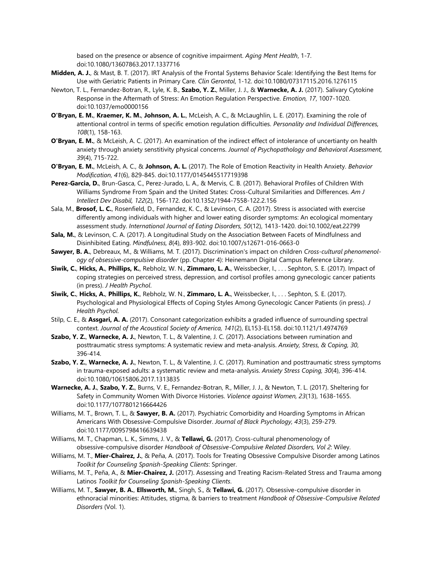based on the presence or absence of cognitive impairment. *Aging Ment Health*, 1-7. doi:10.1080/13607863.2017.1337716

- **Midden, A. J.**, & Mast, B. T. (2017). IRT Analysis of the Frontal Systems Behavior Scale: Identifying the Best Items for Use with Geriatric Patients in Primary Care. *Clin Gerontol*, 1-12. doi:10.1080/07317115.2016.1276115
- Newton, T. L., Fernandez-Botran, R., Lyle, K. B., **Szabo, Y. Z.**, Miller, J. J., & **Warnecke, A. J.** (2017). Salivary Cytokine Response in the Aftermath of Stress: An Emotion Regulation Perspective. *Emotion, 17*, 1007-1020. doi:10.1037/emo0000156
- **O'Bryan, E. M.**, **Kraemer, K. M.**, **Johnson, A. L.**, McLeish, A. C., & McLaughlin, L. E. (2017). Examining the role of attentional control in terms of specific emotion regulation difficulties. *Personality and Individual Differences, 108*(1), 158-163.
- **O'Bryan, E. M.**, & McLeish, A. C. (2017). An examination of the indirect effect of intolerance of uncertianty on health anxiety through anxiety senstitivity physical concerns. *Journal of Psychopathology and Behavioral Assessment, 39*(4), 715-722.
- **O'Bryan, E. M.**, McLeish, A. C., & **Johnson, A. L.** (2017). The Role of Emotion Reactivity in Health Anxiety. *Behavior Modification, 41*(6), 829-845. doi:10.1177/0145445517719398
- **Perez-Garcia, D.**, Brun-Gasca, C., Perez-Jurado, L. A., & Mervis, C. B. (2017). Behavioral Profiles of Children With Williams Syndrome From Spain and the United States: Cross-Cultural Similarities and Differences. *Am J Intellect Dev Disabil, 122*(2), 156-172. doi:10.1352/1944-7558-122.2.156
- Sala, M., **Brosof, L. C.**, Rosenfield, D., Fernandez, K. C., & Levinson, C. A. (2017). Stress is associated with exercise differently among individuals with higher and lower eating disorder symptoms: An ecological momentary assessment study. *International Journal of Eating Disorders, 50*(12), 1413-1420. doi:10.1002/eat.22799
- **Sala, M.**, & Levinson, C. A. (2017). A Longitudinal Study on the Association Between Facets of Mindfulness and Disinhibited Eating. *Mindfulness, 8*(4), 893-902. doi:10.1007/s12671-016-0663-0
- **Sawyer, B. A.**, Debreaux, M., & Williams, M. T. (2017). Discrimination's impact on children *Cross-cultural phenomenology of obsessive-compulsive disorder* (pp. Chapter 4): Heinemann Digital Campus Reference Library.
- **Siwik, C.**, **Hicks, A.**, **Phillips, K.**, Rebholz, W. N., **Zimmaro, L. A.**, Weissbecker, I., . . . Sephton, S. E. (2017). Impact of coping strategies on perceived stress, depression, and cortisol profiles among gynecologic cancer patients (in press). *J Health Psychol*.
- **Siwik, C.**, **Hicks, A.**, **Phillips, K.**, Rebholz, W. N., **Zimmaro, L. A.**, Weissbecker, I., . . . Sephton, S. E. (2017). Psychological and Physiological Effects of Coping Styles Among Gynecologic Cancer Patients (in press). *J Health Psychol*.
- Stilp, C. E., & **Assgari, A. A.** (2017). Consonant categorization exhibits a graded influence of surrounding spectral context. *Journal of the Acoustical Society of America, 141*(2), EL153-EL158. doi:10.1121/1.4974769
- **Szabo, Y. Z.**, **Warnecke, A. J.**, Newton, T. L., & Valentine, J. C. (2017). Associations between rumination and posttraumatic stress symptoms: A systematic review and meta-analysis. *Anxiety, Stress, & Coping, 30*, 396-414.
- **Szabo, Y. Z.**, **Warnecke, A. J.**, Newton, T. L., & Valentine, J. C. (2017). Rumination and posttraumatic stress symptoms in trauma-exposed adults: a systematic review and meta-analysis. *Anxiety Stress Coping, 30*(4), 396-414. doi:10.1080/10615806.2017.1313835
- **Warnecke, A. J.**, **Szabo, Y. Z.**, Burns, V. E., Fernandez-Botran, R., Miller, J. J., & Newton, T. L. (2017). Sheltering for Safety in Community Women With Divorce Histories. *Violence against Women, 23*(13), 1638-1655. doi:10.1177/1077801216664426
- Williams, M. T., Brown, T. L., & **Sawyer, B. A.** (2017). Psychiatric Comorbidity and Hoarding Symptoms in African Americans With Obsessive-Compulsive Disorder. *Journal of Black Psychology, 43*(3), 259-279. doi:10.1177/0095798416639438
- Williams, M. T., Chapman, L. K., Simms, J. V., & **Tellawi, G.** (2017). Cross-cultural phenomenology of obsessive-compulsive disorder *Handbook of Obsessive-Compulsive Related Disorders, Vol 2*: Wiley.
- Williams, M. T., **Mier-Chairez, J.**, & Peña, A. (2017). Tools for Treating Obsessive Compulsive Disorder among Latinos *Toolkit for Counseling Spanish-Speaking Clients*: Springer.
- Williams, M. T., Peña, A., & **Mier-Chairez, J.** (2017). Assessing and Treating Racism-Related Stress and Trauma among Latinos *Toolkit for Counseling Spanish-Speaking Clients*.
- Williams, M. T., **Sawyer, B. A.**, **Ellsworth, M.**, Singh, S., & **Tellawi, G.** (2017). Obsessive-compulsive disorder in ethnoracial minorities: Attitudes, stigma, & barriers to treatment *Handbook of Obsessive-Compulsive Related Disorders* (Vol. 1).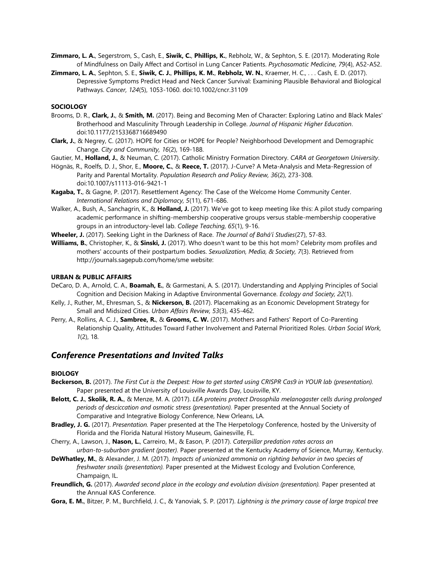- **Zimmaro, L. A.**, Segerstrom, S., Cash, E., **Siwik, C.**, **Phillips, K.**, Rebholz, W., & Sephton, S. E. (2017). Moderating Role of Mindfulness on Daily Affect and Cortisol in Lung Cancer Patients. *Psychosomatic Medicine, 79*(4), A52-A52.
- **Zimmaro, L. A.**, Sephton, S. E., **Siwik, C. J.**, **Phillips, K. M.**, **Rebholz, W. N.**, Kraemer, H. C., . . . Cash, E. D. (2017). Depressive Symptoms Predict Head and Neck Cancer Survival: Examining Plausible Behavioral and Biological Pathways. *Cancer, 124*(5), 1053-1060. doi:10.1002/cncr.31109

#### **SOCIOLOGY**

- Brooms, D. R., **Clark, J.**, & **Smith, M.** (2017). Being and Becoming Men of Character: Exploring Latino and Black Males' Brotherhood and Masculinity Through Leadership in College. *Journal of Hispanic Higher Education*. doi:10.1177/2153368716689490
- **Clark, J.**, & Negrey, C. (2017). HOPE for Cities or HOPE for People? Neighborhood Development and Demographic Change. *City and Community, 16*(2), 169-188.
- Gautier, M., **Holland, J.**, & Neuman, C. (2017). Catholic Ministry Formation Directory. *CARA at Georgetown University*.
- Högnäs, R., Roelfs, D. J., Shor, E., **Moore, C.**, & **Reece, T.** (2017). J-Curve? A Meta-Analysis and Meta-Regression of Parity and Parental Mortality. *Population Research and Policy Review, 36*(2), 273-308. doi:10.1007/s11113-016-9421-1
- **Kagaba, T.**, & Gagne, P. (2017). Resettlement Agency: The Case of the Welcome Home Community Center. *International Relations and Diplomacy, 5*(11), 671-686.
- Walker, A., Bush, A., Sanchagrin, K., & **Holland, J.** (2017). We've got to keep meeting like this: A pilot study comparing academic performance in shifting-membership cooperative groups versus stable-membership cooperative groups in an introductory-level lab. *College Teaching, 65*(1), 9-16.
- **Wheeler, J.** (2017). Seeking Light in the Darkness of Race. *The Journal of Bahá'í Studies*(27), 57-83.
- **Williams, B.**, Christopher, K., & **Sinski, J.** (2017). Who doesn't want to be this hot mom? Celebrity mom profiles and mothers' accounts of their postpartum bodies. *Sexualization, Media, & Society, 7*(3). Retrieved from http://journals.sagepub.com/home/sme website:

## **URBAN & PUBLIC AFFAIRS**

- DeCaro, D. A., Arnold, C. A., **Boamah, E.**, & Garmestani, A. S. (2017). Understanding and Applying Principles of Social Cognition and Decision Making in Adaptive Environmental Governance. *Ecology and Society, 22*(1).
- Kelly, J., Ruther, M., Ehresman, S., & **Nickerson, B.** (2017). Placemaking as an Economic Development Strategy for Small and Midsized Cities. *Urban Affairs Review, 53*(3), 435-462.
- Perry, A., Rollins, A. C. J., **Sambree, R.**, & **Grooms, C. W.** (2017). Mothers and Fathers' Report of Co-Parenting Relationship Quality, Attitudes Toward Father Involvement and Paternal Prioritized Roles. *Urban Social Work, 1*(2), 18.

# *Conference Presentations and Invited Talks*

#### **BIOLOGY**

- **Beckerson, B.** (2017). *The First Cut is the Deepest: How to get started using CRISPR Cas9 in YOUR lab (presentation).* Paper presented at the University of Louisville Awards Day, Louisville, KY.
- **Belott, C. J.**, **Skolik, R. A.**, & Menze, M. A. (2017). *LEA proteins protect Drosophila melanogaster cells during prolonged periods of desciccation and osmotic stress (presentation).* Paper presented at the Annual Society of Comparative and Integrative Biology Conference, New Orleans, LA.
- **Bradley, J. G.** (2017). *Presentation.* Paper presented at the The Herpetology Conference, hosted by the University of Florida and the Florida Natural History Museum, Gainesville, FL.
- Cherry, A., Lawson, J., **Nason, L.**, Carreiro, M., & Eason, P. (2017). *Caterpillar predation rates across an urban-to-suburban gradient (poster).* Paper presented at the Kentucky Academy of Science, Murray, Kentucky.
- **DeWhatley, M.**, & Alexander, J. M. (2017). *Impacts of unionized ammonia on righting behavior in two species of freshwater snails (presentation).* Paper presented at the Midwest Ecology and Evolution Conference, Champaign, IL.
- **Freundlich, G.** (2017). *Awarded second place in the ecology and evolution division (presentation).* Paper presented at the Annual KAS Conference.
- **Gora, E. M.**, Bitzer, P. M., Burchfield, J. C., & Yanoviak, S. P. (2017). *Lightning is the primary cause of large tropical tree*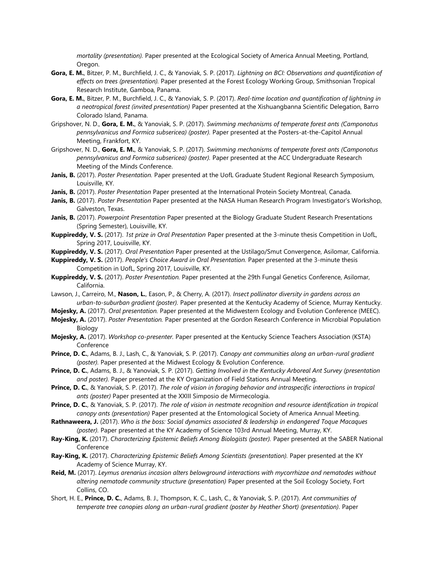*mortality (presentation).* Paper presented at the Ecological Society of America Annual Meeting, Portland, Oregon.

- **Gora, E. M.**, Bitzer, P. M., Burchfield, J. C., & Yanoviak, S. P. (2017). *Lightning on BCI: Observations and quantification of effects on trees (presentation).* Paper presented at the Forest Ecology Working Group, Smithsonian Tropical Research Institute, Gamboa, Panama.
- **Gora, E. M.**, Bitzer, P. M., Burchfield, J. C., & Yanoviak, S. P. (2017). *Real-time location and quantification of lightning in a neotropical forest (invited presentation)* Paper presented at the Xishuangbanna Scientific Delegation, Barro Colorado Island, Panama.
- Gripshover, N. D., **Gora, E. M.**, & Yanoviak, S. P. (2017). *Swimming mechanisms of temperate forest ants (Camponotus pennsylvanicus and Formica subsericea) (poster).* Paper presented at the Posters-at-the-Capitol Annual Meeting, Frankfort, KY.
- Gripshover, N. D., **Gora, E. M.**, & Yanoviak, S. P. (2017). *Swimming mechanisms of temperate forest ants (Camponotus pennsylvanicus and Formica subsericea) (poster).* Paper presented at the ACC Undergraduate Research Meeting of the Minds Conference.
- **Janis, B.** (2017). *Poster Presentation.* Paper presented at the UofL Graduate Student Regional Research Symposium, Louisville, KY.
- **Janis, B.** (2017). *Poster Presentation* Paper presented at the International Protein Society Montreal, Canada.
- **Janis, B.** (2017). *Poster Presentation* Paper presented at the NASA Human Research Program Investigator's Workshop, Galveston, Texas.
- **Janis, B.** (2017). *Powerpoint Presentation* Paper presented at the Biology Graduate Student Research Presentations (Spring Semester), Louisville, KY.
- **Kuppireddy, V. S.** (2017). *1st prize in Oral Presentation* Paper presented at the 3-minute thesis Competition in UofL, Spring 2017, Louisville, KY.
- **Kuppireddy, V. S.** (2017). *Oral Presentation* Paper presented at the Ustilago/Smut Convergence, Asilomar, California.
- **Kuppireddy, V. S.** (2017). *People's Choice Award in Oral Presentation.* Paper presented at the 3-minute thesis Competition in UofL, Spring 2017, Louisville, KY.
- **Kuppireddy, V. S.** (2017). *Poster Presentation.* Paper presented at the 29th Fungal Genetics Conference, Asilomar, California.
- Lawson, J., Carreiro, M., **Nason, L.**, Eason, P., & Cherry, A. (2017). *Insect pollinator diversity in gardens across an urban-to-suburban gradient (poster).* Paper presented at the Kentucky Academy of Science, Murray Kentucky.
- **Mojesky, A.** (2017). *Oral presentation.* Paper presented at the Midwestern Ecology and Evolution Conference (MEEC).
- **Mojesky, A.** (2017). *Poster Presentation.* Paper presented at the Gordon Research Conference in Microbial Population Biology
- **Mojesky, A.** (2017). *Workshop co-presenter.* Paper presented at the Kentucky Science Teachers Association (KSTA) **Conference**
- **Prince, D. C.**, Adams, B. J., Lash, C., & Yanoviak, S. P. (2017). *Canopy ant communities along an urban-rural gradient (poster).* Paper presented at the Midwest Ecology & Evolution Conference.
- **Prince, D. C.**, Adams, B. J., & Yanoviak, S. P. (2017). *Getting Involved in the Kentucky Arboreal Ant Survey (presentation and poster).* Paper presented at the KY Organization of Field Stations Annual Meeting.
- **Prince, D. C.**, & Yanoviak, S. P. (2017). *The role of vision in foraging behavior and intraspecific interactions in tropical ants (poster)* Paper presented at the XXIII Simposio de Mirmecologia.
- **Prince, D. C.**, & Yanoviak, S. P. (2017). *The role of vision in nestmate recognition and resource identification in tropical canopy ants (presentation)* Paper presented at the Entomological Society of America Annual Meeting.
- **Rathnaweera, J.** (2017). *Who is the boss: Social dynamics associated & leadership in endangered Toque Macaques (poster).* Paper presented at the KY Academy of Science 103rd Annual Meeting, Murray, KY.
- **Ray-King, K.** (2017). *Characterizing Epistemic Beliefs Among Biologists (poster).* Paper presented at the SABER National Conference
- **Ray-King, K.** (2017). *Characterizing Epistemic Beliefs Among Scientists (presentation).* Paper presented at the KY Academy of Science Murray, KY.
- **Reid, M.** (2017). *Leymus arenarius incasion alters belowground interactions with mycorrhizae and nematodes without altering nematode community structure (presentation)* Paper presented at the Soil Ecology Society, Fort Collins, CO.
- Short, H. E., **Prince, D. C.**, Adams, B. J., Thompson, K. C., Lash, C., & Yanoviak, S. P. (2017). *Ant communities of temperate tree canopies along an urban-rural gradient (poster by Heather Short) (presentation).* Paper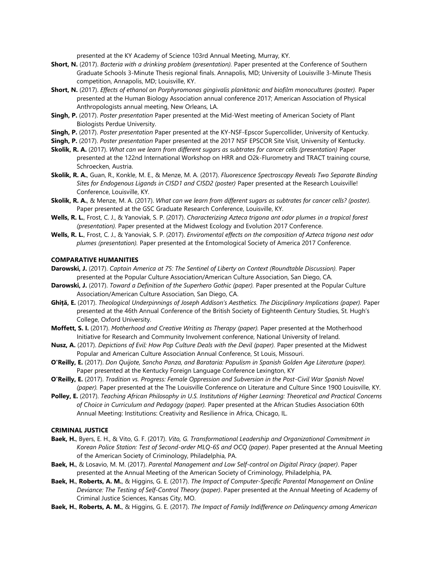presented at the KY Academy of Science 103rd Annual Meeting, Murray, KY.

- **Short, N.** (2017). *Bacteria with a drinking problem (presentation).* Paper presented at the Conference of Southern Graduate Schools 3-Minute Thesis regional finals. Annapolis, MD; University of Louisville 3-Minute Thesis competition, Annapolis, MD; Louisville, KY.
- **Short, N.** (2017). *Effects of ethanol on Porphyromonas gingivalis planktonic and biofilm monocultures (poster).* Paper presented at the Human Biology Association annual conference 2017; American Association of Physical Anthropologists annual meeting, New Orleans, LA.
- **Singh, P.** (2017). *Poster presentation* Paper presented at the Mid-West meeting of American Society of Plant Biologists Perdue University.
- **Singh, P.** (2017). *Poster presentation* Paper presented at the KY-NSF-Epscor Supercollider, University of Kentucky.

**Singh, P.** (2017). *Poster presentation* Paper presented at the 2017 NSF EPSCOR Site Visit, University of Kentucky.

- **Skolik, R. A.** (2017). *What can we learn from different sugars as subtrates for cancer cells (presentation)* Paper presented at the 122nd International Workshop on HRR and O2k-Flurometry and TRACT training course, Schroecken, Austria.
- **Skolik, R. A.**, Guan, R., Konkle, M. E., & Menze, M. A. (2017). *Fluorescence Spectroscopy Reveals Two Separate Binding Sites for Endogenous Ligands in CISD1 and CISD2 (poster)* Paper presented at the Research Louisville! Conference, Louisville, KY.
- **Skolik, R. A.**, & Menze, M. A. (2017). *What can we learn from different sugars as subtrates for cancer cells? (poster).* Paper presented at the GSC Graduate Research Conference, Louisville, KY.
- **Wells, R. L.**, Frost, C. J., & Yanoviak, S. P. (2017). *Characterizing Azteca trigona ant odor plumes in a tropical forest (presentation).* Paper presented at the Midwest Ecology and Evolution 2017 Conference.
- **Wells, R. L.**, Frost, C. J., & Yanoviak, S. P. (2017). *Enviromental effects on the composition of Azteca trigona nest odor plumes (presentation).* Paper presented at the Entomological Society of America 2017 Conference.

#### **COMPARATIVE HUMANITIES**

- **Darowski, J.** (2017). *Captain America at 75: The Sentinel of Liberty on Context (Roundtable Discussion).* Paper presented at the Popular Culture Association/American Culture Association, San Diego, CA.
- **Darowski, J.** (2017). *Toward a Definition of the Superhero Gothic (paper).* Paper presented at the Popular Culture Association/American Culture Association, San Diego, CA.
- **Ghiță, E.** (2017). *Theological Underpinnings of Joseph Addison's Aesthetics. The Disciplinary Implications (paper).* Paper presented at the 46th Annual Conference of the British Society of Eighteenth Century Studies, St. Hugh's College, Oxford University.
- **Moffett, S. I.** (2017). *Motherhood and Creative Writing as Therapy (paper).* Paper presented at the Motherhood Initiative for Research and Community Involvement conference, National University of Ireland.
- **Nusz, A.** (2017). *Depictions of Evil: How Pop Culture Deals with the Devil (paper).* Paper presented at the Midwest Popular and American Culture Association Annual Conference, St Louis, Missouri.
- **O'Reilly, E.** (2017). *Don Quijote, Sancho Panza, and Barataria: Populism in Spanish Golden Age Literature (paper).* Paper presented at the Kentucky Foreign Language Conference Lexington, KY
- **O'Reilly, E.** (2017). *Tradition vs. Progress: Female Oppression and Subversion in the Post-Civil War Spanish Novel (paper).* Paper presented at the The Louisville Conference on Literature and Culture Since 1900 Louisville, KY.
- **Polley, E.** (2017). *Teaching African Philosophy in U.S. Institutions of Higher Learning: Theoretical and Practical Concerns of Choice in Curriculum and Pedagogy (paper).* Paper presented at the African Studies Association 60th Annual Meeting: Institutions: Creativity and Resilience in Africa, Chicago, IL.

#### **CRIMINAL JUSTICE**

- **Baek, H.**, Byers, E. H., & Vito, G. F. (2017). *Vito, G. Transformational Leadership and Organizational Commitment in Korean Police Station: Test of Second-order MLQ-6S and OCQ (paper)*. Paper presented at the Annual Meeting of the American Society of Criminology, Philadelphia, PA.
- **Baek, H.**, & Losavio, M. M. (2017). *Parental Management and Low Self-control on Digital Piracy (paper)*. Paper presented at the Annual Meeting of the American Society of Criminology, Philadelphia, PA.
- **Baek, H.**, **Roberts, A. M.**, & Higgins, G. E. (2017). *The Impact of Computer-Specific Parental Management on Online Deviance: The Testing of Self-Control Theory (paper)*. Paper presented at the Annual Meeting of Academy of Criminal Justice Sciences, Kansas City, MO.
- **Baek, H.**, **Roberts, A. M.**, & Higgins, G. E. (2017). *The Impact of Family Indifference on Delinquency among American*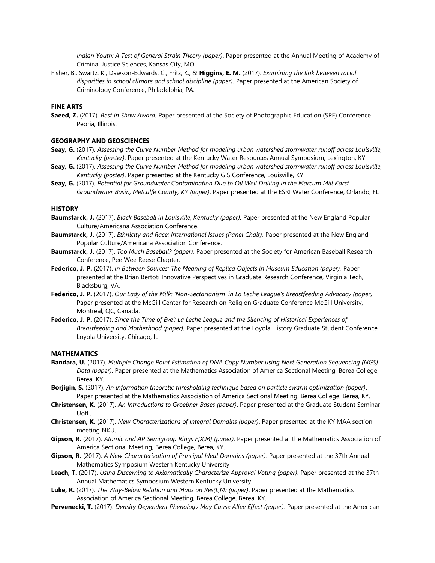*Indian Youth: A Test of General Strain Theory (paper)*. Paper presented at the Annual Meeting of Academy of Criminal Justice Sciences, Kansas City, MO.

Fisher, B., Swartz, K., Dawson-Edwards, C., Fritz, K., & **Higgins, E. M.** (2017). *Examining the link between racial disparities in school climate and school discipline (paper)*. Paper presented at the American Society of Criminology Conference, Philadelphia, PA.

#### **FINE ARTS**

**Saeed, Z.** (2017). *Best in Show Award.* Paper presented at the Society of Photographic Education (SPE) Conference Peoria, Illinois.

#### **GEOGRAPHY AND GEOSCIENCES**

- **Seay, G.** (2017). *Assessing the Curve Number Method for modeling urban watershed stormwater runoff across Louisville, Kentucky (poster)*. Paper presented at the Kentucky Water Resources Annual Symposium, Lexington, KY.
- **Seay, G.** (2017). *Assessing the Curve Number Method for modeling urban watershed stormwater runoff across Louisville, Kentucky (poster)*. Paper presented at the Kentucky GIS Conference, Louisville, KY
- **Seay, G.** (2017). *Potential for Groundwater Contamination Due to Oil Well Drilling in the Marcum Mill Karst Groundwater Basin, Metcalfe County, KY (paper)*. Paper presented at the ESRI Water Conference, Orlando, FL

#### **HISTORY**

- **Baumstarck, J.** (2017). *Black Baseball in Louisville, Kentucky (paper).* Paper presented at the New England Popular Culture/Americana Association Conference.
- **Baumstarck, J.** (2017). *Ethnicity and Race: International Issues (Panel Chair).* Paper presented at the New England Popular Culture/Americana Association Conference.
- **Baumstarck, J.** (2017). *Too Much Baseball? (paper).* Paper presented at the Society for American Baseball Research Conference, Pee Wee Reese Chapter.
- **Federico, J. P.** (2017). *In Between Sources: The Meaning of Replica Objects in Museum Education (paper).* Paper presented at the Brian Bertoti Innovative Perspectives in Graduate Research Conference, Virginia Tech, Blacksburg, VA.
- **Federico, J. P.** (2017). *Our Lady of the Milk: 'Non-Sectarianism' in La Leche League's Breastfeeding Advocacy (paper).* Paper presented at the McGill Center for Research on Religion Graduate Conference McGill University, Montreal, QC, Canada.
- **Federico, J. P.** (2017). *Since the Time of Eve': La Leche League and the Silencing of Historical Experiences of Breastfeeding and Motherhood (paper).* Paper presented at the Loyola History Graduate Student Conference Loyola University, Chicago, IL.

#### **MATHEMATICS**

- **Bandara, U.** (2017). *Multiple Change Point Estimation of DNA Copy Number using Next Generation Sequencing (NGS) Data (paper)*. Paper presented at the Mathematics Association of America Sectional Meeting, Berea College, Berea, KY.
- **Borjigin, S.** (2017). *An information theoretic thresholding technique based on particle swarm optimization (paper)*. Paper presented at the Mathematics Association of America Sectional Meeting, Berea College, Berea, KY.
- **Christensen, K.** (2017). *An Introductions to Groebner Bases (paper)*. Paper presented at the Graduate Student Seminar UofL.
- **Christensen, K.** (2017). *New Characterizations of Integral Domains (paper)*. Paper presented at the KY MAA section meeting NKU.
- **Gipson, R.** (2017). *Atomic and AP Semigroup Rings F[X;M] (paper)*. Paper presented at the Mathematics Association of America Sectional Meeting, Berea College, Berea, KY.
- **Gipson, R.** (2017). *A New Characterization of Principal Ideal Domains (paper)*. Paper presented at the 37th Annual Mathematics Symposium Western Kentucky University
- **Leach, T.** (2017). *Using Discerning to Axiomatically Characterize Approval Voting (paper)*. Paper presented at the 37th Annual Mathematics Symposium Western Kentucky University.
- **Luke, R.** (2017). *The Way-Below Relation and Maps on Res(L,M) (paper)*. Paper presented at the Mathematics Association of America Sectional Meeting, Berea College, Berea, KY.
- **Pervenecki, T.** (2017). *Density Dependent Phenology May Cause Allee Effect (paper)*. Paper presented at the American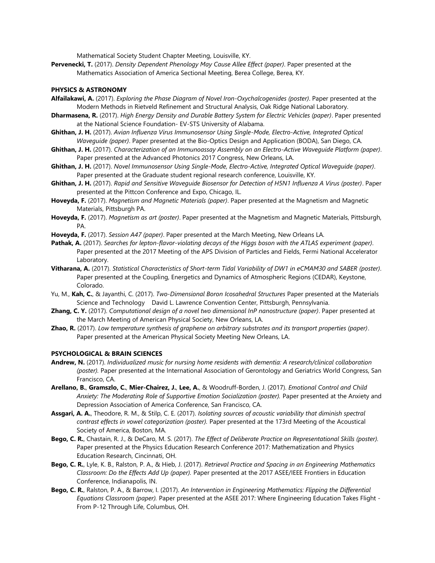Mathematical Society Student Chapter Meeting, Louisville, KY.

**Pervenecki, T.** (2017). *Density Dependent Phenology May Cause Allee Effect (paper)*. Paper presented at the Mathematics Association of America Sectional Meeting, Berea College, Berea, KY.

#### **PHYSICS & ASTRONOMY**

- **Alfailakawi, A.** (2017). *Exploring the Phase Diagram of Novel Iron-Oxychalcogenides (poster)*. Paper presented at the Modern Methods in Rietveld Refinement and Structural Analysis, Oak Ridge National Laboratory.
- **Dharmasena, R.** (2017). *High Energy Density and Durable Battery System for Electric Vehicles (paper)*. Paper presented at the National Science Foundation- EV-STS University of Alabama.
- **Ghithan, J. H.** (2017). *Avian Influenza Virus Immunosensor Using Single-Mode, Electro-Active, Integrated Optical Waveguide (paper)*. Paper presented at the Bio-Optics Design and Application (BODA), San Diego, CA.
- **Ghithan, J. H.** (2017). *Characterization of an Immunoassay Assembly on an Electro-Active Waveguide Platform (paper)*. Paper presented at the Advanced Photonics 2017 Congress, New Orleans, LA.
- **Ghithan, J. H.** (2017). *Novel Immunosensor Using Single-Mode, Electro-Active, Integrated Optical Waveguide (paper)*. Paper presented at the Graduate student regional research conference, Louisville, KY.
- **Ghithan, J. H.** (2017). *Rapid and Sensitive Waveguide Biosensor for Detection of H5N1 Influenza A Virus (poster)*. Paper presented at the Pittcon Conference and Expo, Chicago, IL.
- **Hoveyda, F.** (2017). *Magnetism and Magnetic Materials (paper)*. Paper presented at the Magnetism and Magnetic Materials, Pittsburgh PA.
- **Hoveyda, F.** (2017). *Magnetism as art (poster)*. Paper presented at the Magnetism and Magnetic Materials, Pittsburgh, PA.
- **Hoveyda, F.** (2017). *Session A47 (paper)*. Paper presented at the March Meeting, New Orleans LA.
- **Pathak, A.** (2017). *Searches for lepton-flavor-violating decays of the Higgs boson with the ATLAS experiment (paper)*. Paper presented at the 2017 Meeting of the APS Division of Particles and Fields, Fermi National Accelerator Laboratory.
- **Vitharana, A.** (2017). *Statistical Characteristics of Short-term Tidal Variability of DW1 in eCMAM30 and SABER (poster)*. Paper presented at the Coupling, Energetics and Dynamics of Atmospheric Regions (CEDAR), Keystone, Colorado.
- Yu, M., **Kah, C.**, & Jayanthi, C. (2017). *Two-Dimensional Boron Icosahedral Structures* Paper presented at the Materials Science and Technology David L. Lawrence Convention Center, Pittsburgh, Pennsylvania.
- **Zhang, C. Y.** (2017). *Computational design of a novel two dimensional InP nanostructure (paper)*. Paper presented at the March Meeting of American Physical Society, New Orleans, LA.
- **Zhao, R.** (2017). *Low temperature synthesis of graphene on arbitrary substrates and its transport properties (paper)*. Paper presented at the American Physical Society Meeting New Orleans, LA.

#### **PSYCHOLOGICAL & BRAIN SCIENCES**

- **Andrew, N.** (2017). *Individualized music for nursing home residents with dementia: A research/clinical collaboration (poster).* Paper presented at the International Association of Gerontology and Geriatrics World Congress, San Francisco, CA.
- **Arellano, B.**, **Gramszlo, C.**, **Mier-Chairez, J.**, **Lee, A.**, & Woodruff-Borden, J. (2017). *Emotional Control and Child Anxiety: The Moderating Role of Supportive Emotion Socialization (poster).* Paper presented at the Anxiety and Depression Association of America Conference, San Francisco, CA.
- **Assgari, A. A.**, Theodore, R. M., & Stilp, C. E. (2017). *Isolating sources of acoustic variability that diminish spectral contrast effects in vowel categorization (poster).* Paper presented at the 173rd Meeting of the Acoustical Society of America, Boston, MA.
- **Bego, C. R.**, Chastain, R. J., & DeCaro, M. S. (2017). *The Effect of Deliberate Practice on Representational Skills (poster).* Paper presented at the Physics Education Research Conference 2017: Mathematization and Physics Education Research, Cincinnati, OH.
- **Bego, C. R.**, Lyle, K. B., Ralston, P. A., & Hieb, J. (2017). *Retrieval Practice and Spacing in an Engineering Mathematics Classroom: Do the Effects Add Up (paper).* Paper presented at the 2017 ASEE/IEEE Frontiers in Education Conference, Indianapolis, IN.
- **Bego, C. R.**, Ralston, P. A., & Barrow, I. (2017). *An Intervention in Engineering Mathematics: Flipping the Differential Equations Classroom (paper).* Paper presented at the ASEE 2017: Where Engineering Education Takes Flight - From P-12 Through Life, Columbus, OH.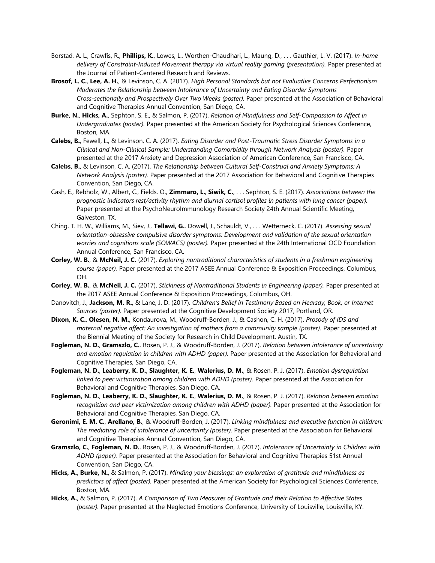- Borstad, A. L., Crawfis, R., **Phillips, K.**, Lowes, L., Worthen-Chaudhari, L., Maung, D., . . . Gauthier, L. V. (2017). *In-home delivery of Constraint-Induced Movement therapy via virtual reality gaming (presentation).* Paper presented at the Journal of Patient-Centered Research and Reviews.
- **Brosof, L. C.**, **Lee, A. H.**, & Levinson, C. A. (2017). *High Personal Standards but not Evaluative Concerns Perfectionism Moderates the Relationship between Intolerance of Uncertainty and Eating Disorder Symptoms Cross-sectionally and Prospectively Over Two Weeks (poster).* Paper presented at the Association of Behavioral and Cognitive Therapies Annual Convention, San Diego, CA.
- **Burke, N.**, **Hicks, A.**, Sephton, S. E., & Salmon, P. (2017). *Relation of Mindfulness and Self-Compassion to Affect in Undergraduates (poster).* Paper presented at the American Society for Psychological Sciences Conference, Boston, MA.
- **Calebs, B.**, Fewell, L., & Levinson, C. A. (2017). *Eating Disorder and Post-Traumatic Stress Disorder Symptoms in a Clinical and Non-Clinical Sample: Understanding Comorbidity through Network Analysis (poster).* Paper presented at the 2017 Anxiety and Depression Association of American Conference, San Francisco, CA.
- **Calebs, B.**, & Levinson, C. A. (2017). *The Relationship between Cultural Self-Construal and Anxiety Symptoms: A Network Analysis (poster).* Paper presented at the 2017 Association for Behavioral and Cognitive Therapies Convention, San Diego, CA.
- Cash, E., Rebholz, W., Albert, C., Fields, O., **Zimmaro, L.**, **Siwik, C.**, . . . Sephton, S. E. (2017). *Associations between the prognostic indicators rest/activity rhythm and diurnal cortisol profiles in patients with lung cancer (paper).* Paper presented at the PsychoNeuroImmunology Research Society 24th Annual Scientific Meeting, Galveston, TX.
- Ching, T. H. W., Williams, M., Siev, J., **Tellawi, G.**, Dowell, J., Schauldt, V., . . . Wetterneck, C. (2017). *Assessing sexual orientation-obsessive compulsive disorder symptoms: Development and validation of the sexual orientation worries and cognitions scale (SOWACS) (poster).* Paper presented at the 24th International OCD Foundation Annual Conference, San Francisco, CA.
- **Corley, W. B.**, & **McNeil, J. C.** (2017). *Exploring nontraditional characteristics of students in a freshman engineering course (paper).* Paper presented at the 2017 ASEE Annual Conference & Exposition Proceedings, Columbus, OH.
- **Corley, W. B.**, & **McNeil, J. C.** (2017). *Stickiness of Nontraditional Students in Engineering (paper).* Paper presented at the 2017 ASEE Annual Conference & Exposition Proceedings, Columbus, OH.
- Danovitch, J., **Jackson, M. R.**, & Lane, J. D. (2017). *Children's Belief in Testimony Based on Hearsay, Book, or Internet Sources (poster).* Paper presented at the Cognitive Development Society 2017, Portland, OR.
- **Dixon, K. C.**, **Olesen, N. M.**, Kondaurova, M., Woodruff-Borden, J., & Cashon, C. H. (2017). *Prosody of IDS and maternal negative affect: An investigation of mothers from a community sample (poster).* Paper presented at the Biennial Meeting of the Society for Research in Child Development, Austin, TX.
- **Fogleman, N. D.**, **Gramszlo, C.**, Rosen, P. J., & Woodruff-Borden, J. (2017). *Relation between intolerance of uncertainty and emotion regulation in children with ADHD (paper).* Paper presented at the Association for Behavioral and Cognitive Therapies, San Diego, CA.
- **Fogleman, N. D.**, **Leaberry, K. D.**, **Slaughter, K. E.**, **Walerius, D. M.**, & Rosen, P. J. (2017). *Emotion dysregulation linked to peer victimization among children with ADHD (poster).* Paper presented at the Association for Behavioral and Cognitive Therapies, San Diego, CA.
- **Fogleman, N. D.**, **Leaberry, K. D.**, **Slaughter, K. E.**, **Walerius, D. M.**, & Rosen, P. J. (2017). *Relation between emotion recognition and peer victimization among children with ADHD (paper).* Paper presented at the Association for Behavioral and Cognitive Therapies, San Diego, CA.
- **Geronimi, E. M. C.**, **Arellano, B.**, & Woodruff-Borden, J. (2017). *Linking mindfulness and executive function in children: The mediating role of intolerance of uncertainty (poster).* Paper presented at the Association for Behavioral and Cognitive Therapies Annual Convention, San Diego, CA.
- **Gramszlo, C.**, **Fogleman, N. D.**, Rosen, P. J., & Woodruff-Borden, J. (2017). *Intolerance of Uncertainty in Children with ADHD (paper).* Paper presented at the Association for Behavioral and Cognitive Therapies 51st Annual Convention, San Diego, CA.
- **Hicks, A.**, **Burke, N.**, & Salmon, P. (2017). *Minding your blessings: an exploration of gratitude and mindfulness as predictors of affect (poster).* Paper presented at the American Society for Psychological Sciences Conference, Boston, MA.
- **Hicks, A.**, & Salmon, P. (2017). *A Comparison of Two Measures of Gratitude and their Relation to Affective States (poster).* Paper presented at the Neglected Emotions Conference, University of Louisville, Louisville, KY.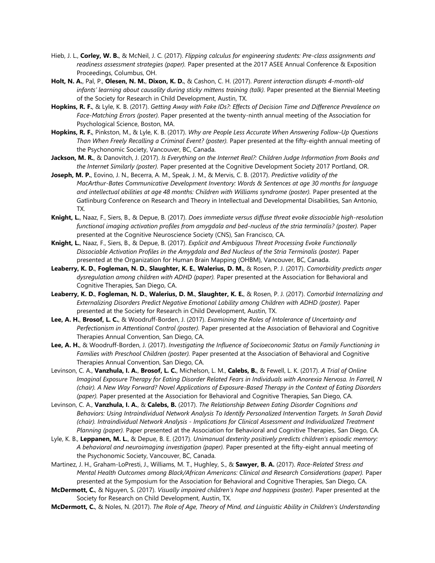- Hieb, J. L., **Corley, W. B.**, & McNeil, J. C. (2017). *Flipping calculus for engineering students: Pre-class assignments and readiness assessment strategies (paper).* Paper presented at the 2017 ASEE Annual Conference & Exposition Proceedings, Columbus, OH.
- **Holt, N. A.**, Pal, P., **Olesen, N. M.**, **Dixon, K. D.**, & Cashon, C. H. (2017). *Parent interaction disrupts 4-month-old infants' learning about causality during sticky mittens training (talk).* Paper presented at the Biennial Meeting of the Society for Research in Child Development, Austin, TX.
- **Hopkins, R. F.**, & Lyle, K. B. (2017). *Getting Away with Fake IDs?: Effects of Decision Time and Difference Prevalence on Face-Matching Errors (poster).* Paper presented at the twenty-ninth annual meeting of the Association for Psychological Science, Boston, MA.
- **Hopkins, R. F.**, Pinkston, M., & Lyle, K. B. (2017). *Why are People Less Accurate When Answering Follow-Up Questions Than When Freely Recalling a Criminal Event? (poster).* Paper presented at the fifty-eighth annual meeting of the Psychonomic Society, Vancouver, BC, Canada.
- **Jackson, M. R.**, & Danovitch, J. (2017). *Is Everything on the Internet Real?: Children Judge Information from Books and the Internet Similarly (poster).* Paper presented at the Cognitive Development Society 2017 Portland, OR.
- **Joseph, M. P.**, Eovino, J. N., Becerra, A. M., Speak, J. M., & Mervis, C. B. (2017). *Predictive validity of the MacArthur-Bates Communicative Development Inventory: Words & Sentences at age 30 months for language and intellectual abilities at age 48 months: Children with Williams syndrome (poster).* Paper presented at the Gatlinburg Conference on Research and Theory in Intellectual and Developmental Disabilities, San Antonio, TX.
- **Knight, L.**, Naaz, F., Siers, B., & Depue, B. (2017). *Does immediate versus diffuse threat evoke dissociable high-resolution functional imaging activation profiles from amygdala and bed-nucleus of the stria terminalis? (poster).* Paper presented at the Cognitive Neuroscience Society (CNS), San Francisco, CA.
- **Knight, L.**, Naaz, F., Siers, B., & Depue, B. (2017). *Explicit and Ambiguous Threat Processing Evoke Functionally Dissociable Activation Profiles in the Amygdala and Bed Nucleus of the Stria Terminalis (poster).* Paper presented at the Organization for Human Brain Mapping (OHBM), Vancouver, BC, Canada.
- **Leaberry, K. D.**, **Fogleman, N. D.**, **Slaughter, K. E.**, **Walerius, D. M.**, & Rosen, P. J. (2017). *Comorbidity predicts anger dysregulation among children with ADHD (paper).* Paper presented at the Association for Behavioral and Cognitive Therapies, San Diego, CA.
- **Leaberry, K. D.**, **Fogleman, N. D.**, **Walerius, D. M.**, **Slaughter, K. E.**, & Rosen, P. J. (2017). *Comorbid Internalizing and Externalizing Disorders Predict Negative Emotional Lability among Children with ADHD (poster).* Paper presented at the Society for Research in Child Development, Austin, TX.
- **Lee, A. H.**, **Brosof, L. C.**, & Woodruff-Borden, J. (2017). *Examining the Roles of Intolerance of Uncertainty and Perfectionism in Attentional Control (poster).* Paper presented at the Association of Behavioral and Cognitive Therapies Annual Convention, San Diego, CA.
- **Lee, A. H.**, & Woodruff-Borden, J. (2017). *Investigating the Influence of Socioeconomic Status on Family Functioning in Families with Preschool Children (poster).* Paper presented at the Association of Behavioral and Cognitive Therapies Annual Convention, San Diego, CA.
- Levinson, C. A., **Vanzhula, I. A.**, **Brosof, L. C.**, Michelson, L. M., **Calebs, B.**, & Fewell, L. K. (2017). *A Trial of Online Imaginal Exposure Therapy for Eating Disorder Related Fears in Individuals with Anorexia Nervosa. In Farrell, N (chair). A New Way Forward? Novel Applications of Exposure-Based Therapy in the Context of Eating Disorders (paper).* Paper presented at the Association for Behavioral and Cognitive Therapies, San Diego, CA.
- Levinson, C. A., **Vanzhula, I. A.**, & **Calebs, B.** (2017). *The Relationship Between Eating Disorder Cognitions and Behaviors: Using Intraindividual Network Analysis To Identify Personalized Intervention Targets. In Sarah David (chair). Intraindividual Network Analysis - Implications for Clinical Assessment and Individualized Treatment Planning (paper).* Paper presented at the Association for Behavioral and Cognitive Therapies, San Diego, CA.
- Lyle, K. B., **Leppanen, M. L.**, & Depue, B. E. (2017). *Unimanual dexterity positively predicts children's episodic memory: A behavioral and neuroimaging investigation (paper).* Paper presented at the fifty-eight annual meeting of the Psychonomic Society, Vancouver, BC, Canada.
- Martinez, J. H., Graham-LoPresti, J., Williams, M. T., Hughley, S., & **Sawyer, B. A.** (2017). *Race-Related Stress and Mental Health Outcomes among Black/African Americans: Clinical and Research Considerations (paper).* Paper presented at the Symposium for the Association for Behavioral and Cognitive Therapies, San Diego, CA.
- **McDermott, C.**, & Nguyen, S. (2017). *Visually impaired children's hope and happiness (poster).* Paper presented at the Society for Research on Child Development, Austin, TX.
- **McDermott, C.**, & Noles, N. (2017). *The Role of Age, Theory of Mind, and Linguistic Ability in Children's Understanding*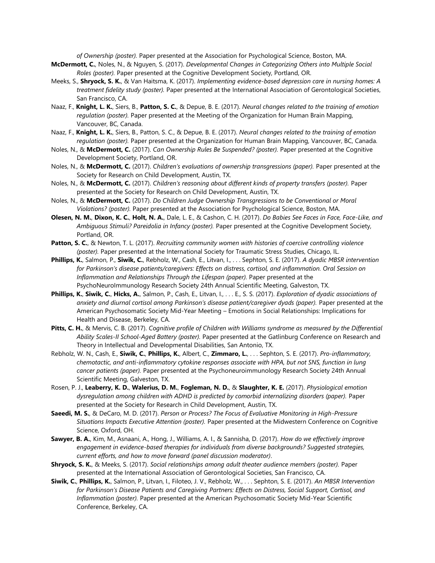*of Ownership (poster).* Paper presented at the Association for Psychological Science, Boston, MA.

- **McDermott, C.**, Noles, N., & Nguyen, S. (2017). *Developmental Changes in Categorizing Others into Multiple Social Roles (poster).* Paper presented at the Cognitive Development Society, Portland, OR.
- Meeks, S., **Shryock, S. K.**, & Van Haitsma, K. (2017). *Implementing evidence-based depression care in nursing homes: A treatment fidelity study (poster).* Paper presented at the International Association of Gerontological Societies, San Francisco, CA.
- Naaz, F., **Knight, L. K.**, Siers, B., **Patton, S. C.**, & Depue, B. E. (2017). *Neural changes related to the training of emotion regulation (poster).* Paper presented at the Meeting of the Organization for Human Brain Mapping, Vancouver, BC, Canada.
- Naaz, F., **Knight, L. K.**, Siers, B., Patton, S. C., & Depue, B. E. (2017). *Neural changes related to the training of emotion regulation (poster).* Paper presented at the Organization for Human Brain Mapping, Vancouver, BC, Canada.
- Noles, N., & **McDermott, C.** (2017). *Can Ownership Rules Be Suspended? (poster).* Paper presented at the Cognitive Development Society, Portland, OR.
- Noles, N., & **McDermott, C.** (2017). *Children's evaluations of ownership transgressions (paper).* Paper presented at the Society for Research on Child Development, Austin, TX.
- Noles, N., & **McDermott, C.** (2017). *Children's reasoning about different kinds of property transfers (poster).* Paper presented at the Society for Research on Child Development, Austin, TX.
- Noles, N., & **McDermott, C.** (2017). *Do Children Judge Ownership Transgressions to be Conventional or Moral Violations? (poster).* Paper presented at the Association for Psychological Science, Boston, MA.
- **Olesen, N. M.**, **Dixon, K. C.**, **Holt, N. A.**, Dale, L. E., & Cashon, C. H. (2017). *Do Babies See Faces in Face, Face-Like, and Ambiguous Stimuli? Pareidolia in Infancy (poster).* Paper presented at the Cognitive Development Society, Portland, OR.
- **Patton, S. C.**, & Newton, T. L. (2017). *Recruiting community women with histories of coercive controlling violence (poster).* Paper presented at the International Society for Traumatic Stress Studies, Chicago, IL.
- **Phillips, K.**, Salmon, P., **Siwik, C.**, Rebholz, W., Cash, E., Litvan, I., . . . Sephton, S. E. (2017). *A dyadic MBSR intervention for Parkinson's disease patients/caregivers: Effects on distress, cortisol, and inflammation. Oral Session on Inflammation and Relationships Through the Lifespan (paper).* Paper presented at the PsychoNeuroImmunology Research Society 24th Annual Scientific Meeting, Galveston, TX.
- **Phillips, K.**, **Siwik, C.**, **Hicks, A.**, Salmon, P., Cash, E., Litvan, I., . . . E., S. S. (2017). *Exploration of dyadic associations of anxiety and diurnal cortisol among Parkinson's disease patient/caregiver dyads (paper).* Paper presented at the American Psychosomatic Society Mid-Year Meeting – Emotions in Social Relationships: Implications for Health and Disease, Berkeley, CA.
- **Pitts, C. H.**, & Mervis, C. B. (2017). *Cognitive profile of Children with Williams syndrome as measured by the Differential Ability Scales-II School-Aged Battery (poster).* Paper presented at the Gatlinburg Conference on Research and Theory in Intellectual and Developmental Disabilities, San Antonio, TX.
- Rebholz, W. N., Cash, E., **Siwik, C.**, **Phillips, K.**, Albert, C., **Zimmaro, L.**, . . . Sephton, S. E. (2017). *Pro-inflammatory, chemotactic, and anti-inflammatory cytokine responses associate with HPA, but not SNS, function in lung cancer patients (paper).* Paper presented at the Psychoneuroimmunology Research Society 24th Annual Scientific Meeting, Galveston, TX.
- Rosen, P. J., **Leaberry, K. D.**, **Walerius, D. M.**, **Fogleman, N. D.**, & **Slaughter, K. E.** (2017). *Physiological emotion dysregulation among children with ADHD is predicted by comorbid internalizing disorders (paper).* Paper presented at the Society for Research in Child Development, Austin, TX.
- **Saeedi, M. S.**, & DeCaro, M. D. (2017). *Person or Process? The Focus of Evaluative Monitoring in High-Pressure Situations Impacts Executive Attention (poster).* Paper presented at the Midwestern Conference on Cognitive Science, Oxford, OH.
- **Sawyer, B. A.**, Kim, M., Asnaani, A., Hong, J., Williams, A. I., & Sannisha, D. (2017). *How do we effectively improve engagement in evidence-based therapies for individuals from diverse backgrounds? Suggested strategies, current efforts, and how to move forward (panel discussion moderator)*.
- **Shryock, S. K.**, & Meeks, S. (2017). *Social relationships among adult theater audience members (poster).* Paper presented at the International Association of Gerontological Societies, San Francisco, CA.
- **Siwik, C.**, **Phillips, K.**, Salmon, P., Litvan, I., Filoteo, J. V., Rebholz, W., . . . Sephton, S. E. (2017). *An MBSR Intervention for Parkinson's Disease Patients and Caregiving Partners: Effects on Distress, Social Support, Cortisol, and Inflammation (poster).* Paper presented at the American Psychosomatic Society Mid-Year Scientific Conference, Berkeley, CA.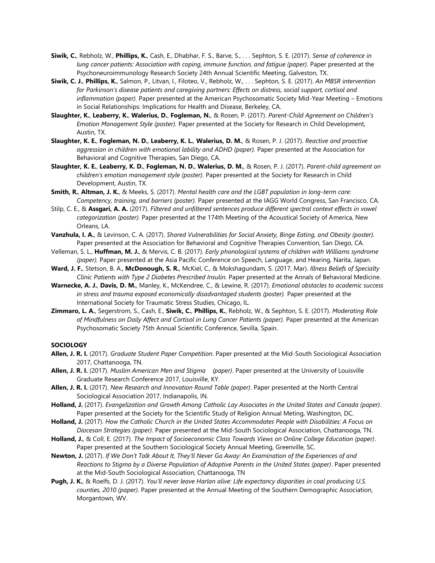- **Siwik, C.**, Rebholz, W., **Phillips, K.**, Cash, E., Dhabhar, F. S., Barve, S., . . . Sephton, S. E. (2017). *Sense of coherence in lung cancer patients: Association with coping, immune function, and fatigue (paper).* Paper presented at the Psychoneuroimmunology Research Society 24th Annual Scientific Meeting, Galveston, TX.
- **Siwik, C. J.**, **Phillips, K.**, Salmon, P., Litvan, I., Filoteo, V., Rebholz, W., . . . Sephton, S. E. (2017). *An MBSR intervention for Parkinson's disease patients and caregiving partners: Effects on distress, social support, cortisol and inflammation (paper).* Paper presented at the American Psychosomatic Society Mid-Year Meeting – Emotions in Social Relationships: Implications for Health and Disease, Berkeley, CA.
- **Slaughter, K.**, **Leaberry, K.**, **Walerius, D.**, **Fogleman, N.**, & Rosen, P. (2017). *Parent-Child Agreement on Children's Emotion Management Style (poster).* Paper presented at the Society for Research in Child Development, Austin, TX.
- **Slaughter, K. E.**, **Fogleman, N. D.**, **Leaberry, K. L.**, **Walerius, D. M.**, & Rosen, P. J. (2017). *Reactive and proactive aggression in children with emotional lability and ADHD (paper).* Paper presented at the Association for Behavioral and Cognitive Therapies, San Diego, CA.
- **Slaughter, K. E.**, **Leaberry, K. D.**, **Fogleman, N. D.**, **Walerius, D. M.**, & Rosen, P. J. (2017). *Parent-child agreement on children's emotion management style (poster).* Paper presented at the Society for Research in Child Development, Austin, TX.
- **Smith, R.**, **Altman, J. K.**, & Meeks, S. (2017). *Mental health care and the LGBT population in long-term care: Competency, training, and barriers (poster).* Paper presented at the IAGG World Congress, San Francisco, CA.
- Stilp, C. E., & **Assgari, A. A.** (2017). *Filtered and unfiltered sentences produce different spectral context effects in vowel categorization (poster).* Paper presented at the 174th Meeting of the Acoustical Society of America, New Orleans, LA.
- **Vanzhula, I. A.**, & Levinson, C. A. (2017). *Shared Vulnerabilities for Social Anxiety, Binge Eating, and Obesity (poster).* Paper presented at the Association for Behavioral and Cognitive Therapies Convention, San Diego, CA.
- Velleman, S. L., **Huffman, M. J.**, & Mervis, C. B. (2017). *Early phonological systems of children with Williams syndrome (paper).* Paper presented at the Asia Pacific Conference on Speech, Language, and Hearing, Narita, Japan.
- **Ward, J. F.**, Stetson, B. A., **McDonough, S. R.**, McKiel, C., & Mokshagundam, S. (2017, Mar). *Illness Beliefs of Specialty Clinic Patients with Type 2 Diabetes Prescribed Insulin.* Paper presented at the Annals of Behavioral Medicine.
- **Warnecke, A. J.**, **Davis, D. M.**, Manley, K., McKendree, C., & Lewine, R. (2017). *Emotional obstacles to academic success in stress and trauma exposed economically disadvantaged students (poster).* Paper presented at the International Society for Traumatic Stress Studies, Chicago, IL.
- **Zimmaro, L. A.**, Segerstrom, S., Cash, E., **Siwik, C.**, **Phillips, K.**, Rebholz, W., & Sephton, S. E. (2017). *Moderating Role of Mindfulness on Daily Affect and Cortisol in Lung Cancer Patients (paper).* Paper presented at the American Psychosomatic Society 75th Annual Scientific Conference, Sevilla, Spain.

#### **SOCIOLOGY**

- **Allen, J. R. I.** (2017). *Graduate Student Paper Competition*. Paper presented at the Mid-South Sociological Association 2017, Chattanooga, TN.
- **Allen, J. R. I.** (2017). *Muslim American Men and Stigma (paper)*. Paper presented at the University of Louisville Graduate Research Conference 2017, Louisville, KY.
- **Allen, J. R. I.** (2017). *New Research and Innovation Round Table (paper)*. Paper presented at the North Central Sociological Association 2017, Indianapolis, IN.
- **Holland, J.** (2017). *Evangelization and Growth Among Catholic Lay Associates in the United States and Canada (paper)*. Paper presented at the Society for the Scientific Study of Religion Annual Meting, Washington, DC.
- **Holland, J.** (2017). *How the Catholic Church in the United States Accommodates People with Disabilities: A Focus on Diocesan Strategies (paper)*. Paper presented at the Mid-South Sociological Association, Chattanooga, TN.
- **Holland, J.**, & Coll, E. (2017). *The Impact of Socioeconomic Class Towards Views on Online College Education (paper)*. Paper presented at the Southern Sociological Society Annual Meeting, Greenville, SC.
- **Newton, J.** (2017). *If We Don't Talk About It, They'll Never Go Away: An Examination of the Experiences of and Reactions to Stigma by a Diverse Population of Adoptive Parents in the United States (paper)*. Paper presented at the Mid-South Sociological Association, Chattanooga, TN
- **Pugh, J. K.**, & Roelfs, D. J. (2017). *You'll never leave Harlan alive: Life expectancy disparities in coal producing U.S. counties, 2010 (paper)*. Paper presented at the Annual Meeting of the Southern Demographic Association, Morgantown, WV.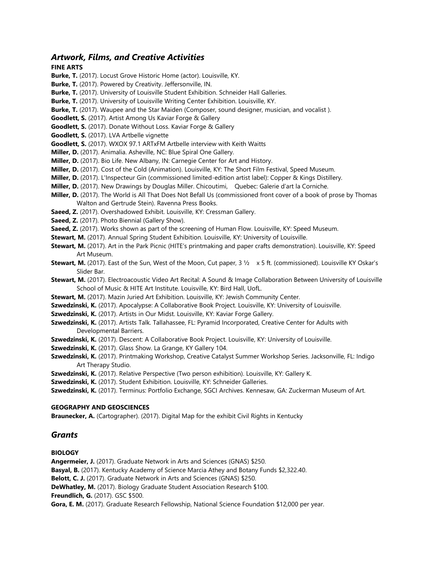# *Artwork, Films, and Creative Activities*

# **FINE ARTS**

**Burke, T.** (2017). Locust Grove Historic Home (actor). Louisville, KY.

- **Burke, T.** (2017). Powered by Creativity. Jeffersonville, IN.
- **Burke, T.** (2017). University of Louisville Student Exhibition. Schneider Hall Galleries.
- **Burke, T.** (2017). University of Louisville Writing Center Exhibition. Louisville, KY.
- **Burke, T.** (2017). Waupee and the Star Maiden (Composer, sound designer, musician, and vocalist ).
- **Goodlett, S.** (2017). Artist Among Us Kaviar Forge & Gallery
- **Goodlett, S.** (2017). Donate Without Loss. Kaviar Forge & Gallery
- **Goodlett, S.** (2017). LVA Artbelle vignette
- **Goodlett, S.** (2017). WXOX 97.1 ARTxFM Artbelle interview with Keith Waitts
- **Miller, D.** (2017). Animalia. Asheville, NC: Blue Spiral One Gallery.
- **Miller, D.** (2017). Bio Life. New Albany, IN: Carnegie Center for Art and History.
- **Miller, D.** (2017). Cost of the Cold (Animation). Louisville, KY: The Short Film Festival, Speed Museum.
- **Miller, D.** (2017). L'Inspecteur Gin (commissioned limited-edition artist label): Copper & Kings Distillery.
- **Miller, D.** (2017). New Drawings by Douglas Miller. Chicoutimi, Quebec: Galerie d'art la Corniche.
- **Miller, D.** (2017). The World is All That Does Not Befall Us (commissioned front cover of a book of prose by Thomas Walton and Gertrude Stein). Ravenna Press Books.
- **Saeed, Z.** (2017). Overshadowed Exhibit. Louisville, KY: Cressman Gallery.
- **Saeed, Z.** (2017). Photo Biennial (Gallery Show).
- **Saeed, Z.** (2017). Works shown as part of the screening of Human Flow. Louisville, KY: Speed Museum.
- **Stewart, M.** (2017). Annual Spring Student Exhibition. Louisville, KY: University of Louisville.
- **Stewart, M.** (2017). Art in the Park Picnic (HITE's printmaking and paper crafts demonstration). Louisville, KY: Speed Art Museum.
- **Stewart, M.** (2017). East of the Sun, West of the Moon, Cut paper, 3 ½ x 5 ft. (commissioned). Louisville KY Oskar's Slider Bar.
- **Stewart, M.** (2017). Electroacoustic Video Art Recital: A Sound & Image Collaboration Between University of Louisville School of Music & HITE Art Institute. Louisville, KY: Bird Hall, UofL.
- **Stewart, M.** (2017). Mazin Juried Art Exhibition. Louisville, KY: Jewish Community Center.
- **Szwedzinski, K.** (2017). Apocalypse: A Collaborative Book Project. Louisville, KY: University of Louisville.
- **Szwedzinski, K.** (2017). Artists in Our Midst. Louisville, KY: Kaviar Forge Gallery.
- **Szwedzinski, K.** (2017). Artists Talk. Tallahassee, FL: Pyramid Incorporated, Creative Center for Adults with Developmental Barriers.
- **Szwedzinski, K.** (2017). Descent: A Collaborative Book Project. Louisville, KY: University of Louisville.
- **Szwedzinski, K.** (2017). Glass Show. La Grange, KY Gallery 104.
- **Szwedzinski, K.** (2017). Printmaking Workshop, Creative Catalyst Summer Workshop Series. Jacksonville, FL: Indigo Art Therapy Studio.
- **Szwedzinski, K.** (2017). Relative Perspective (Two person exhibition). Louisville, KY: Gallery K.
- **Szwedzinski, K.** (2017). Student Exhibition. Louisville, KY: Schneider Galleries.

**Szwedzinski, K.** (2017). Terminus: Portfolio Exchange, SGCI Archives. Kennesaw, GA: Zuckerman Museum of Art.

# **GEOGRAPHY AND GEOSCIENCES**

**Braunecker, A.** (Cartographer). (2017). Digital Map for the exhibit Civil Rights in Kentucky

# *Grants*

# **BIOLOGY**

**Angermeier, J.** (2017). Graduate Network in Arts and Sciences (GNAS) \$250.

**Basyal, B.** (2017). Kentucky Academy of Science Marcia Athey and Botany Funds \$2,322.40.

**Belott, C. J.** (2017). Graduate Network in Arts and Sciences (GNAS) \$250.

**DeWhatley, M.** (2017). Biology Graduate Student Association Research \$100.

**Freundlich, G.** (2017). GSC \$500.

**Gora, E. M.** (2017). Graduate Research Fellowship, National Science Foundation \$12,000 per year.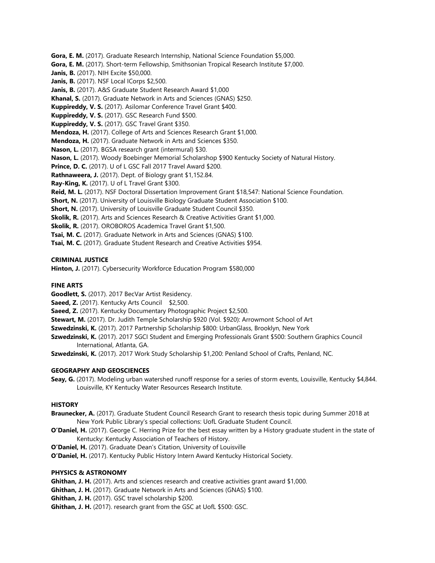**Gora, E. M.** (2017). Graduate Research Internship, National Science Foundation \$5,000.

**Gora, E. M.** (2017). Short-term Fellowship, Smithsonian Tropical Research Institute \$7,000.

**Janis, B.** (2017). NIH Excite \$50,000.

**Janis, B.** (2017). NSF Local ICorps \$2,500.

**Janis, B.** (2017). A&S Graduate Student Research Award \$1,000

**Khanal, S.** (2017). Graduate Network in Arts and Sciences (GNAS) \$250.

**Kuppireddy, V. S.** (2017). Asilomar Conference Travel Grant \$400.

**Kuppireddy, V. S.** (2017). GSC Research Fund \$500.

**Kuppireddy, V. S.** (2017). GSC Travel Grant \$350.

**Mendoza, H.** (2017). College of Arts and Sciences Research Grant \$1,000.

- **Mendoza, H.** (2017). Graduate Network in Arts and Sciences \$350.
- **Nason, L.** (2017). BGSA research grant (intermural) \$30.

**Nason, L.** (2017). Woody Boebinger Memorial Scholarshop \$900 Kentucky Society of Natural History.

**Prince, D. C.** (2017). U of L GSC Fall 2017 Travel Award \$200.

**Rathnaweera, J.** (2017). Dept. of Biology grant \$1,152.84.

**Ray-King, K.** (2017). U of L Travel Grant \$300.

**Reid, M. L.** (2017). NSF Doctoral Dissertation Improvement Grant \$18,547: National Science Foundation.

**Short, N.** (2017). University of Louisville Biology Graduate Student Association \$100.

**Short, N.** (2017). University of Louisville Graduate Student Council \$350.

**Skolik, R.** (2017). Arts and Sciences Research & Creative Activities Grant \$1,000.

**Skolik, R.** (2017). OROBOROS Academica Travel Grant \$1,500.

**Tsai, M. C.** (2017). Graduate Network in Arts and Sciences (GNAS) \$100.

**Tsai, M. C.** (2017). Graduate Student Research and Creative Activities \$954.

# **CRIMINAL JUSTICE**

**Hinton, J.** (2017). Cybersecurity Workforce Education Program \$580,000

# **FINE ARTS**

**Goodlett, S.** (2017). 2017 BecVar Artist Residency.

**Saeed, Z.** (2017). Kentucky Arts Council \$2,500.

**Saeed, Z.** (2017). Kentucky Documentary Photographic Project \$2,500.

**Stewart, M.** (2017). Dr. Judith Temple Scholarship \$920 (Vol. \$920): Arrowmont School of Art

**Szwedzinski, K.** (2017). 2017 Partnership Scholarship \$800: UrbanGlass, Brooklyn, New York

**Szwedzinski, K.** (2017). 2017 SGCI Student and Emerging Professionals Grant \$500: Southern Graphics Council International, Atlanta, GA.

**Szwedzinski, K.** (2017). 2017 Work Study Scholarship \$1,200: Penland School of Crafts, Penland, NC.

# **GEOGRAPHY AND GEOSCIENCES**

**Seay, G.** (2017). Modeling urban watershed runoff response for a series of storm events, Louisville, Kentucky \$4,844. Louisville, KY Kentucky Water Resources Research Institute.

#### **HISTORY**

**Braunecker, A.** (2017). Graduate Student Council Research Grant to research thesis topic during Summer 2018 at New York Public Library's special collections: UofL Graduate Student Council.

- **O'Daniel, H.** (2017). George C. Herring Prize for the best essay written by a History graduate student in the state of Kentucky: Kentucky Association of Teachers of History.
- **O'Daniel, H.** (2017). Graduate Dean's Citation, University of Louisville
- **O'Daniel, H.** (2017). Kentucky Public History Intern Award Kentucky Historical Society.

# **PHYSICS & ASTRONOMY**

- **Ghithan, J. H.** (2017). Arts and sciences research and creative activities grant award \$1,000.
- **Ghithan, J. H.** (2017). Graduate Network in Arts and Sciences (GNAS) \$100.
- **Ghithan, J. H.** (2017). GSC travel scholarship \$200.
- **Ghithan, J. H.** (2017). research grant from the GSC at UofL \$500: GSC.